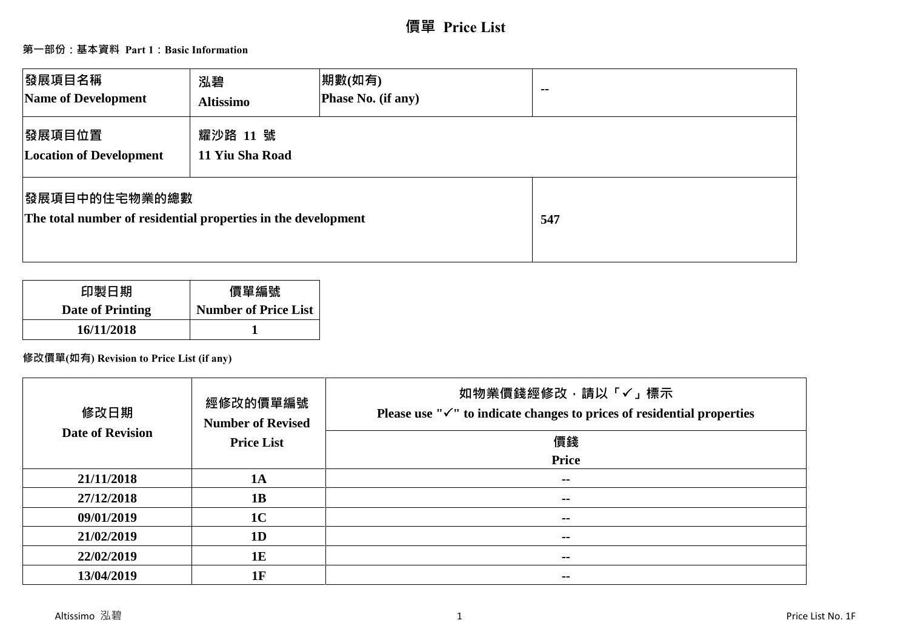# **價單 Price List**

## **第一部份:基本資料 Part 1:Basic Information**

| 發展項目名稱<br>Name of Development                                                  | 泓碧<br><b>Altissimo</b>      | 期數(如有)<br>Phase No. (if any) | $\sim$ |
|--------------------------------------------------------------------------------|-----------------------------|------------------------------|--------|
| 發展項目位置<br><b>Location of Development</b>                                       | 耀沙路 11 號<br>11 Yiu Sha Road |                              |        |
| 發展項目中的住宅物業的總數<br>The total number of residential properties in the development |                             |                              | 547    |

| 印製日期                    | 價單編號                        |
|-------------------------|-----------------------------|
| <b>Date of Printing</b> | <b>Number of Price List</b> |
| 16/11/2018              |                             |

## **修改價單(如有) Revision to Price List (if any)**

| 修改日期<br><b>Date of Revision</b> | 經修改的價單編號<br><b>Number of Revised</b><br><b>Price List</b> | 如物業價錢經修改,請以「√」標示<br>Please use " $\checkmark$ " to indicate changes to prices of residential properties<br>價錢<br>Price |
|---------------------------------|-----------------------------------------------------------|------------------------------------------------------------------------------------------------------------------------|
| 21/11/2018                      | <b>1A</b>                                                 | $\sim$ $\sim$                                                                                                          |
| 27/12/2018                      | 1B                                                        | $\sim$ $\sim$                                                                                                          |
| 09/01/2019                      | 1 <sup>C</sup>                                            | $\overline{\phantom{a}}$                                                                                               |
| 21/02/2019                      | 1 <sub>D</sub>                                            | $- -$                                                                                                                  |
| 22/02/2019                      | 1E                                                        | $\sim$ $\sim$                                                                                                          |
| 13/04/2019                      | 1F                                                        | $- -$                                                                                                                  |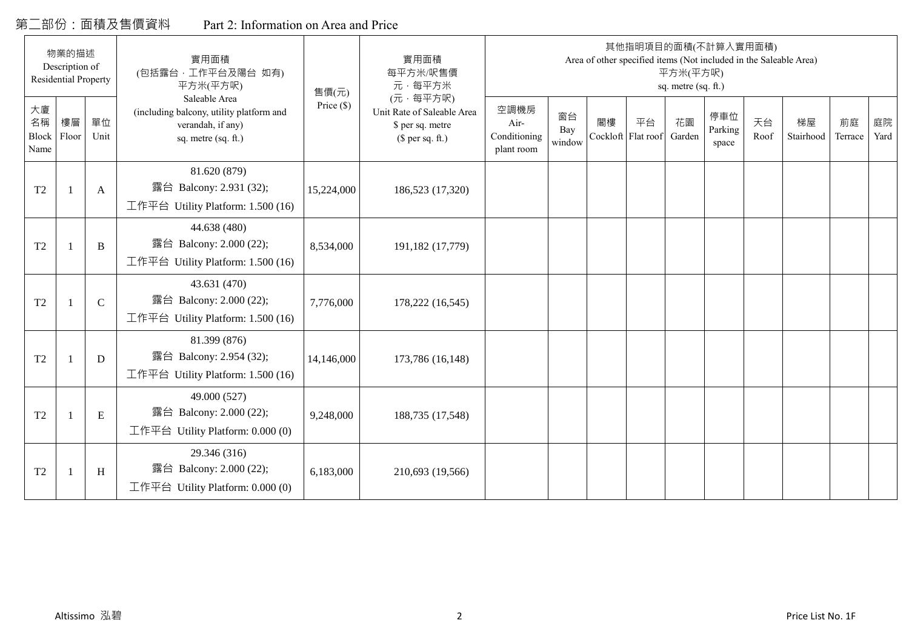## 第二部份:面積及售價資料 Part 2: Information on Area and Price

|                                  | 物業的描述<br>Description of<br><b>Residential Property</b> |             | 實用面積<br>(包括露台,工作平台及陽台 如有)<br>平方米(平方呎)                                                                 | 售價(元)        | 實用面積<br>每平方米/呎售價<br>元·每平方米                                                     |                                            |                     |    |                          | 平方米(平方呎)<br>sq. metre (sq. ft.) | 其他指明項目的面積(不計算入實用面積)<br>Area of other specified items (Not included in the Saleable Area) |            |                 |               |            |
|----------------------------------|--------------------------------------------------------|-------------|-------------------------------------------------------------------------------------------------------|--------------|--------------------------------------------------------------------------------|--------------------------------------------|---------------------|----|--------------------------|---------------------------------|------------------------------------------------------------------------------------------|------------|-----------------|---------------|------------|
| 大廈<br>名稱<br><b>Block</b><br>Name | 樓層<br>Floor                                            | 單位<br>Unit  | Saleable Area<br>(including balcony, utility platform and<br>verandah, if any)<br>sq. metre (sq. ft.) | Price $(\$)$ | (元·每平方呎)<br>Unit Rate of Saleable Area<br>\$ per sq. metre<br>$$$ per sq. ft.) | 空調機房<br>Air-<br>Conditioning<br>plant room | 窗台<br>Bay<br>window | 閣樓 | 平台<br>Cockloft Flat roof | 花園<br>Garden                    | 停車位<br>Parking<br>space                                                                  | 天台<br>Roof | 梯屋<br>Stairhood | 前庭<br>Terrace | 庭院<br>Yard |
| T <sub>2</sub>                   |                                                        | A           | 81.620 (879)<br>露台 Balcony: 2.931 (32);<br>工作平台 Utility Platform: 1.500 (16)                          | 15,224,000   | 186,523 (17,320)                                                               |                                            |                     |    |                          |                                 |                                                                                          |            |                 |               |            |
| T <sub>2</sub>                   |                                                        | B           | 44.638 (480)<br>露台 Balcony: 2.000 (22);<br>工作平台 Utility Platform: 1.500 (16)                          | 8,534,000    | 191,182 (17,779)                                                               |                                            |                     |    |                          |                                 |                                                                                          |            |                 |               |            |
| T <sub>2</sub>                   |                                                        | $\mathbf C$ | 43.631 (470)<br>露台 Balcony: 2.000 (22);<br>工作平台 Utility Platform: $1.500(16)$                         | 7,776,000    | 178,222 (16,545)                                                               |                                            |                     |    |                          |                                 |                                                                                          |            |                 |               |            |
| T <sub>2</sub>                   |                                                        | D           | 81.399 (876)<br>露台 Balcony: 2.954 (32);<br>工作平台 Utility Platform: 1.500 (16)                          | 14,146,000   | 173,786 (16,148)                                                               |                                            |                     |    |                          |                                 |                                                                                          |            |                 |               |            |
| T <sub>2</sub>                   |                                                        | ${\bf E}$   | 49.000 (527)<br>露台 Balcony: 2.000 (22);<br>工作平台 Utility Platform: 0.000 (0)                           | 9,248,000    | 188,735 (17,548)                                                               |                                            |                     |    |                          |                                 |                                                                                          |            |                 |               |            |
| T <sub>2</sub>                   | -1                                                     | H           | 29.346 (316)<br>露台 Balcony: 2.000 (22);<br>工作平台 Utility Platform: $0.000(0)$                          | 6,183,000    | 210,693 (19,566)                                                               |                                            |                     |    |                          |                                 |                                                                                          |            |                 |               |            |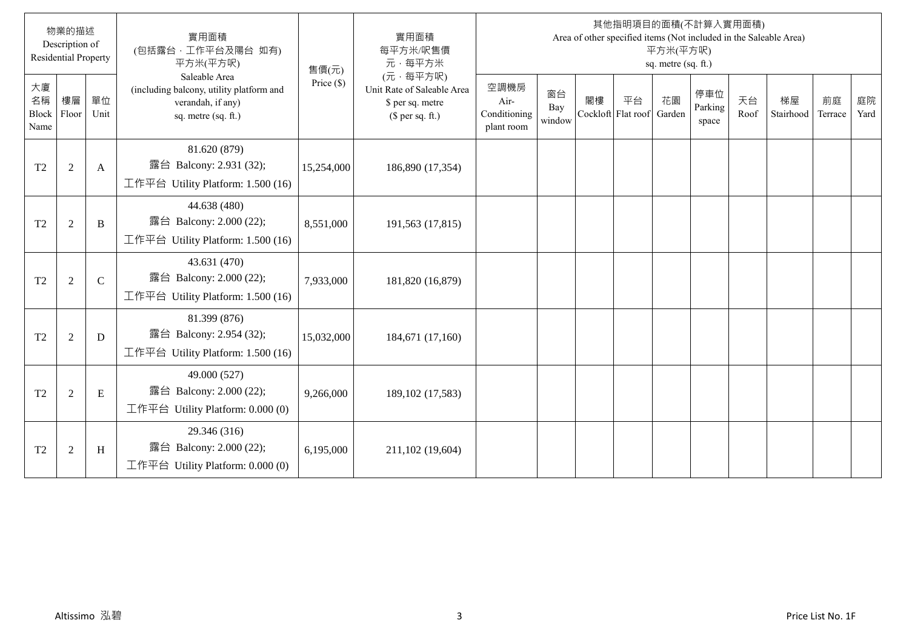|                           | 物業的描述<br>Description of<br><b>Residential Property</b> |               | 實用面積<br>(包括露台,工作平台及陽台 如有)<br>平方米(平方呎)                                                                 | 售價(元)        | 實用面積<br>每平方米/呎售價<br>元·每平方米                                                     |                                            |                     |    |                          | 平方米(平方呎)<br>sq. metre (sq. ft.) | 其他指明項目的面積(不計算入實用面積)<br>Area of other specified items (Not included in the Saleable Area) |            |                 |               |            |
|---------------------------|--------------------------------------------------------|---------------|-------------------------------------------------------------------------------------------------------|--------------|--------------------------------------------------------------------------------|--------------------------------------------|---------------------|----|--------------------------|---------------------------------|------------------------------------------------------------------------------------------|------------|-----------------|---------------|------------|
| 大廈<br>名稱<br>Block<br>Name | 樓層<br>Floor                                            | 單位<br>Unit    | Saleable Area<br>(including balcony, utility platform and<br>verandah, if any)<br>sq. metre (sq. ft.) | Price $(\$)$ | (元·每平方呎)<br>Unit Rate of Saleable Area<br>\$ per sq. metre<br>$$$ per sq. ft.) | 空調機房<br>Air-<br>Conditioning<br>plant room | 窗台<br>Bay<br>window | 閣樓 | 平台<br>Cockloft Flat roof | 花園<br>Garden                    | 停車位<br>Parking<br>space                                                                  | 天台<br>Roof | 梯屋<br>Stairhood | 前庭<br>Terrace | 庭院<br>Yard |
| T <sub>2</sub>            | $\overline{2}$                                         | A             | 81.620 (879)<br>露台 Balcony: 2.931 (32);<br>工作平台 Utility Platform: 1.500 (16)                          | 15,254,000   | 186,890 (17,354)                                                               |                                            |                     |    |                          |                                 |                                                                                          |            |                 |               |            |
| T <sub>2</sub>            | $\overline{2}$                                         | B             | 44.638 (480)<br>露台 Balcony: 2.000 (22);<br>工作平台 Utility Platform: 1.500 (16)                          | 8,551,000    | 191,563 (17,815)                                                               |                                            |                     |    |                          |                                 |                                                                                          |            |                 |               |            |
| T <sub>2</sub>            | $\overline{2}$                                         | $\mathcal{C}$ | 43.631 (470)<br>露台 Balcony: 2.000 (22);<br>工作平台 Utility Platform: 1.500 (16)                          | 7,933,000    | 181,820 (16,879)                                                               |                                            |                     |    |                          |                                 |                                                                                          |            |                 |               |            |
| T <sub>2</sub>            | $\overline{2}$                                         | D             | 81.399 (876)<br>露台 Balcony: 2.954 (32);<br>工作平台 Utility Platform: 1.500 (16)                          | 15,032,000   | 184,671 (17,160)                                                               |                                            |                     |    |                          |                                 |                                                                                          |            |                 |               |            |
| T <sub>2</sub>            | $\sqrt{2}$                                             | E             | 49.000 (527)<br>露台 Balcony: 2.000 (22);<br>工作平台 Utility Platform: $0.000(0)$                          | 9,266,000    | 189, 102 (17, 583)                                                             |                                            |                     |    |                          |                                 |                                                                                          |            |                 |               |            |
| T <sub>2</sub>            | $\overline{2}$                                         | H             | 29.346 (316)<br>露台 Balcony: 2.000 (22);<br>工作平台 Utility Platform: $0.000(0)$                          | 6,195,000    | 211,102 (19,604)                                                               |                                            |                     |    |                          |                                 |                                                                                          |            |                 |               |            |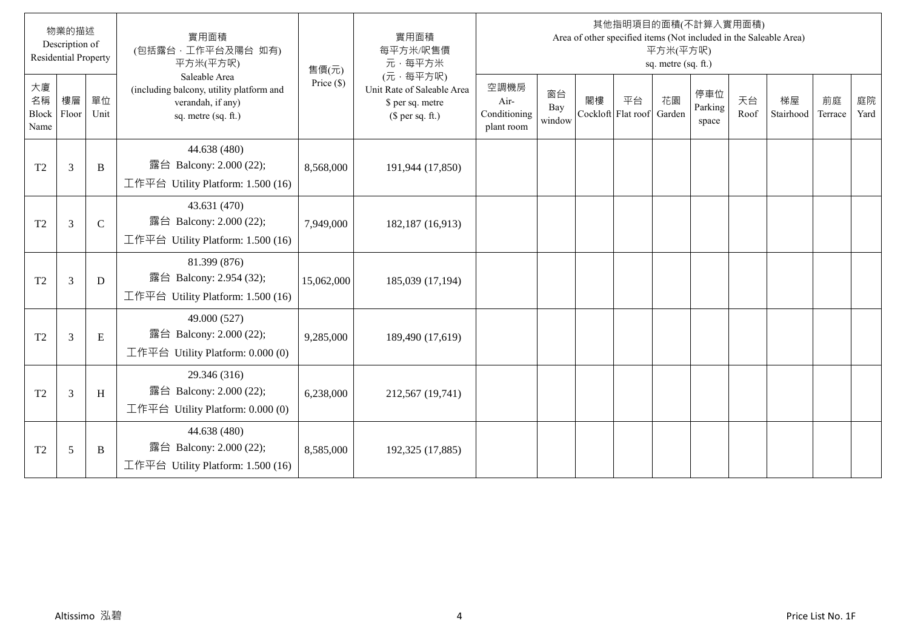|                           | 物業的描述<br>Description of<br><b>Residential Property</b> |               | 實用面積<br>(包括露台,工作平台及陽台 如有)<br>平方米(平方呎)                                                                 | 售價(元)        | 實用面積<br>每平方米/呎售價<br>元·每平方米                                                     |                                            |                     |    |                          | 平方米(平方呎)<br>sq. metre (sq. ft.) | 其他指明項目的面積(不計算入實用面積)<br>Area of other specified items (Not included in the Saleable Area) |            |                 |               |            |
|---------------------------|--------------------------------------------------------|---------------|-------------------------------------------------------------------------------------------------------|--------------|--------------------------------------------------------------------------------|--------------------------------------------|---------------------|----|--------------------------|---------------------------------|------------------------------------------------------------------------------------------|------------|-----------------|---------------|------------|
| 大廈<br>名稱<br>Block<br>Name | 樓層<br>Floor                                            | 單位<br>Unit    | Saleable Area<br>(including balcony, utility platform and<br>verandah, if any)<br>sq. metre (sq. ft.) | Price $(\$)$ | (元·每平方呎)<br>Unit Rate of Saleable Area<br>\$ per sq. metre<br>$$$ per sq. ft.) | 空調機房<br>Air-<br>Conditioning<br>plant room | 窗台<br>Bay<br>window | 閣樓 | 平台<br>Cockloft Flat roof | 花園<br>Garden                    | 停車位<br>Parking<br>space                                                                  | 天台<br>Roof | 梯屋<br>Stairhood | 前庭<br>Terrace | 庭院<br>Yard |
| T <sub>2</sub>            | 3                                                      | B             | 44.638 (480)<br>露台 Balcony: 2.000 (22);<br>工作平台 Utility Platform: 1.500 (16)                          | 8,568,000    | 191,944 (17,850)                                                               |                                            |                     |    |                          |                                 |                                                                                          |            |                 |               |            |
| T <sub>2</sub>            | 3                                                      | $\mathcal{C}$ | 43.631 (470)<br>露台 Balcony: 2.000 (22);<br>工作平台 Utility Platform: 1.500 (16)                          | 7,949,000    | 182,187 (16,913)                                                               |                                            |                     |    |                          |                                 |                                                                                          |            |                 |               |            |
| T <sub>2</sub>            | 3                                                      | D             | 81.399 (876)<br>露台 Balcony: 2.954 (32);<br>工作平台 Utility Platform: 1.500 (16)                          | 15,062,000   | 185,039 (17,194)                                                               |                                            |                     |    |                          |                                 |                                                                                          |            |                 |               |            |
| T <sub>2</sub>            | 3                                                      | E             | 49.000 (527)<br>露台 Balcony: 2.000 (22);<br>工作平台 Utility Platform: 0.000 (0)                           | 9,285,000    | 189,490 (17,619)                                                               |                                            |                     |    |                          |                                 |                                                                                          |            |                 |               |            |
| T <sub>2</sub>            | 3                                                      | H             | 29.346 (316)<br>露台 Balcony: 2.000 (22);<br>工作平台 Utility Platform: $0.000(0)$                          | 6,238,000    | 212,567 (19,741)                                                               |                                            |                     |    |                          |                                 |                                                                                          |            |                 |               |            |
| T <sub>2</sub>            | 5                                                      | B             | 44.638 (480)<br>露台 Balcony: 2.000 (22);<br>工作平台 Utility Platform: 1.500 (16)                          | 8,585,000    | 192,325 (17,885)                                                               |                                            |                     |    |                          |                                 |                                                                                          |            |                 |               |            |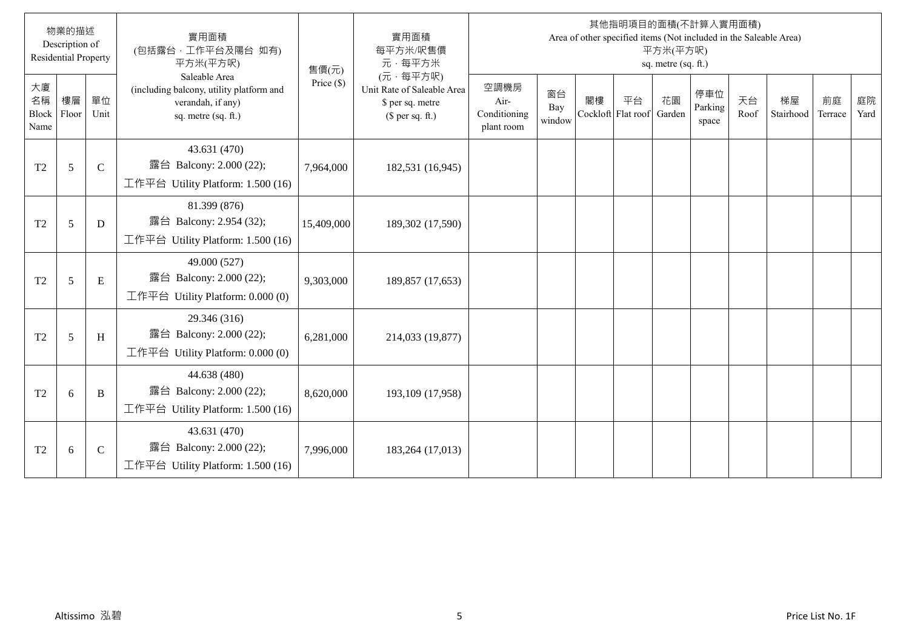|                                  | 物業的描述<br>Description of<br><b>Residential Property</b> |               | 實用面積<br>(包括露台, 工作平台及陽台 如有)<br>平方米(平方呎)                                                                | 售價(元)        | 實用面積<br>每平方米/呎售價<br>元·每平方米                                                     |                                            |                     |                          | 其他指明項目的面積(不計算入實用面積)<br>Area of other specified items (Not included in the Saleable Area) | 平方米(平方呎)<br>sq. metre (sq. ft.) |                         |            |                 |               |            |
|----------------------------------|--------------------------------------------------------|---------------|-------------------------------------------------------------------------------------------------------|--------------|--------------------------------------------------------------------------------|--------------------------------------------|---------------------|--------------------------|------------------------------------------------------------------------------------------|---------------------------------|-------------------------|------------|-----------------|---------------|------------|
| 大廈<br>名稱<br><b>Block</b><br>Name | 樓層<br>Floor                                            | 單位<br>Unit    | Saleable Area<br>(including balcony, utility platform and<br>verandah, if any)<br>sq. metre (sq. ft.) | Price $(\$)$ | (元·每平方呎)<br>Unit Rate of Saleable Area<br>\$ per sq. metre<br>$$$ per sq. ft.) | 空調機房<br>Air-<br>Conditioning<br>plant room | 窗台<br>Bay<br>window | 閣樓<br>Cockloft Flat roof | 平台                                                                                       | 花園<br>Garden                    | 停車位<br>Parking<br>space | 天台<br>Roof | 梯屋<br>Stairhood | 前庭<br>Terrace | 庭院<br>Yard |
| T2                               | 5                                                      | $\mathcal{C}$ | 43.631 (470)<br>露台 Balcony: 2.000 (22);<br>工作平台 Utility Platform: 1.500 (16)                          | 7,964,000    | 182,531 (16,945)                                                               |                                            |                     |                          |                                                                                          |                                 |                         |            |                 |               |            |
| T <sub>2</sub>                   | 5                                                      | D             | 81.399 (876)<br>露台 Balcony: 2.954 (32);<br>工作平台 Utility Platform: 1.500 (16)                          | 15,409,000   | 189,302 (17,590)                                                               |                                            |                     |                          |                                                                                          |                                 |                         |            |                 |               |            |
| T2                               | 5                                                      | E             | 49.000 (527)<br>露台 Balcony: 2.000 (22);<br>工作平台 Utility Platform: $0.000(0)$                          | 9,303,000    | 189,857 (17,653)                                                               |                                            |                     |                          |                                                                                          |                                 |                         |            |                 |               |            |
| T <sub>2</sub>                   | 5                                                      | H             | 29.346 (316)<br>露台 Balcony: 2.000 (22);<br>工作平台 Utility Platform: $0.000(0)$                          | 6,281,000    | 214,033 (19,877)                                                               |                                            |                     |                          |                                                                                          |                                 |                         |            |                 |               |            |
| T <sub>2</sub>                   | 6                                                      | B             | 44.638 (480)<br>露台 Balcony: 2.000 (22);<br>工作平台 Utility Platform: 1.500 (16)                          | 8,620,000    | 193,109 (17,958)                                                               |                                            |                     |                          |                                                                                          |                                 |                         |            |                 |               |            |
| T2                               | 6                                                      | $\mathsf{C}$  | 43.631 (470)<br>露台 Balcony: 2.000 (22);<br>工作平台 Utility Platform: 1.500 (16)                          | 7,996,000    | 183,264 (17,013)                                                               |                                            |                     |                          |                                                                                          |                                 |                         |            |                 |               |            |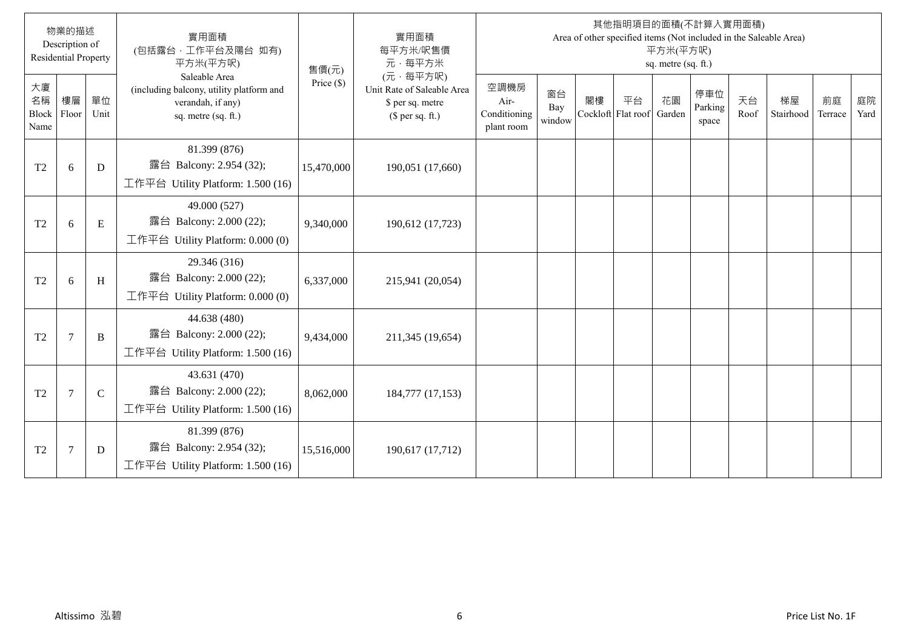|                           | 物業的描述<br>Description of<br><b>Residential Property</b> |              | 實用面積<br>(包括露台,工作平台及陽台 如有)<br>平方米(平方呎)                                                                 | 售價(元)        | 實用面積<br>每平方米/呎售價<br>元·每平方米                                                     |                                            |                     |    |                          | 平方米(平方呎)<br>sq. metre (sq. ft.) | 其他指明項目的面積(不計算入實用面積)<br>Area of other specified items (Not included in the Saleable Area) |            |                 |               |            |
|---------------------------|--------------------------------------------------------|--------------|-------------------------------------------------------------------------------------------------------|--------------|--------------------------------------------------------------------------------|--------------------------------------------|---------------------|----|--------------------------|---------------------------------|------------------------------------------------------------------------------------------|------------|-----------------|---------------|------------|
| 大廈<br>名稱<br>Block<br>Name | 樓層<br>Floor                                            | 單位<br>Unit   | Saleable Area<br>(including balcony, utility platform and<br>verandah, if any)<br>sq. metre (sq. ft.) | Price $(\$)$ | (元·每平方呎)<br>Unit Rate of Saleable Area<br>\$ per sq. metre<br>$$$ per sq. ft.) | 空調機房<br>Air-<br>Conditioning<br>plant room | 窗台<br>Bay<br>window | 閣樓 | 平台<br>Cockloft Flat roof | 花園<br>Garden                    | 停車位<br>Parking<br>space                                                                  | 天台<br>Roof | 梯屋<br>Stairhood | 前庭<br>Terrace | 庭院<br>Yard |
| T <sub>2</sub>            | 6                                                      | D            | 81.399 (876)<br>露台 Balcony: 2.954 (32);<br>工作平台 Utility Platform: 1.500 (16)                          | 15,470,000   | 190,051 (17,660)                                                               |                                            |                     |    |                          |                                 |                                                                                          |            |                 |               |            |
| T <sub>2</sub>            | 6                                                      | E            | 49.000 (527)<br>露台 Balcony: 2.000 (22);<br>工作平台 Utility Platform: $0.000(0)$                          | 9,340,000    | 190,612 (17,723)                                                               |                                            |                     |    |                          |                                 |                                                                                          |            |                 |               |            |
| T <sub>2</sub>            | 6                                                      | H            | 29.346 (316)<br>露台 Balcony: 2.000 (22);<br>工作平台 Utility Platform: 0.000 (0)                           | 6,337,000    | 215,941 (20,054)                                                               |                                            |                     |    |                          |                                 |                                                                                          |            |                 |               |            |
| T <sub>2</sub>            | $\overline{7}$                                         | B            | 44.638 (480)<br>露台 Balcony: 2.000 (22);<br>工作平台 Utility Platform: 1.500 (16)                          | 9,434,000    | 211,345 (19,654)                                                               |                                            |                     |    |                          |                                 |                                                                                          |            |                 |               |            |
| T <sub>2</sub>            | $\overline{7}$                                         | $\mathsf{C}$ | 43.631 (470)<br>露台 Balcony: 2.000 (22);<br>工作平台 Utility Platform: 1.500 (16)                          | 8,062,000    | 184,777 (17,153)                                                               |                                            |                     |    |                          |                                 |                                                                                          |            |                 |               |            |
| T <sub>2</sub>            | $\overline{7}$                                         | D            | 81.399 (876)<br>露台 Balcony: 2.954 (32);<br>工作平台 Utility Platform: 1.500 (16)                          | 15,516,000   | 190,617 (17,712)                                                               |                                            |                     |    |                          |                                 |                                                                                          |            |                 |               |            |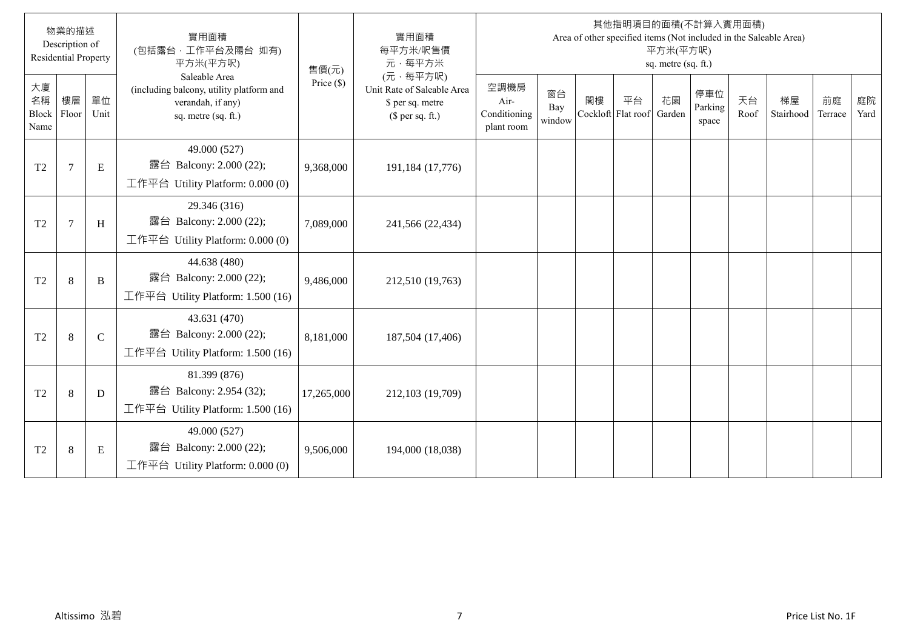|                           | 物業的描述<br>Description of<br><b>Residential Property</b> |               | 實用面積<br>(包括露台,工作平台及陽台 如有)<br>平方米(平方呎)                                                                 | 售價(元)        | 實用面積<br>每平方米/呎售價<br>元·每平方米                                                     |                                            |                     |    |                          | 平方米(平方呎)<br>sq. metre (sq. ft.) | 其他指明項目的面積(不計算入實用面積)<br>Area of other specified items (Not included in the Saleable Area) |            |                 |               |            |
|---------------------------|--------------------------------------------------------|---------------|-------------------------------------------------------------------------------------------------------|--------------|--------------------------------------------------------------------------------|--------------------------------------------|---------------------|----|--------------------------|---------------------------------|------------------------------------------------------------------------------------------|------------|-----------------|---------------|------------|
| 大廈<br>名稱<br>Block<br>Name | 樓層<br>Floor                                            | 單位<br>Unit    | Saleable Area<br>(including balcony, utility platform and<br>verandah, if any)<br>sq. metre (sq. ft.) | Price $(\$)$ | (元·每平方呎)<br>Unit Rate of Saleable Area<br>\$ per sq. metre<br>$$$ per sq. ft.) | 空調機房<br>Air-<br>Conditioning<br>plant room | 窗台<br>Bay<br>window | 閣樓 | 平台<br>Cockloft Flat roof | 花園<br>Garden                    | 停車位<br>Parking<br>space                                                                  | 天台<br>Roof | 梯屋<br>Stairhood | 前庭<br>Terrace | 庭院<br>Yard |
| T <sub>2</sub>            | $\overline{7}$                                         | E             | 49.000 (527)<br>露台 Balcony: 2.000 (22);<br>工作平台 Utility Platform: 0.000 (0)                           | 9,368,000    | 191,184 (17,776)                                                               |                                            |                     |    |                          |                                 |                                                                                          |            |                 |               |            |
| T <sub>2</sub>            | $7\phantom{.0}$                                        | H             | 29.346 (316)<br>露台 Balcony: 2.000 (22);<br>工作平台 Utility Platform: 0.000 (0)                           | 7,089,000    | 241,566 (22,434)                                                               |                                            |                     |    |                          |                                 |                                                                                          |            |                 |               |            |
| T <sub>2</sub>            | $\,8\,$                                                | B             | 44.638 (480)<br>露台 Balcony: 2.000 (22);<br>工作平台 Utility Platform: 1.500 (16)                          | 9,486,000    | 212,510 (19,763)                                                               |                                            |                     |    |                          |                                 |                                                                                          |            |                 |               |            |
| T <sub>2</sub>            | 8                                                      | $\mathcal{C}$ | 43.631 (470)<br>露台 Balcony: 2.000 (22);<br>工作平台 Utility Platform: 1.500 (16)                          | 8,181,000    | 187,504 (17,406)                                                               |                                            |                     |    |                          |                                 |                                                                                          |            |                 |               |            |
| T <sub>2</sub>            | 8                                                      | D             | 81.399 (876)<br>露台 Balcony: 2.954 (32);<br>工作平台 Utility Platform: 1.500 (16)                          | 17,265,000   | 212,103 (19,709)                                                               |                                            |                     |    |                          |                                 |                                                                                          |            |                 |               |            |
| T <sub>2</sub>            | 8                                                      | E             | 49.000 (527)<br>露台 Balcony: 2.000 (22);<br>工作平台 Utility Platform: $0.000(0)$                          | 9,506,000    | 194,000 (18,038)                                                               |                                            |                     |    |                          |                                 |                                                                                          |            |                 |               |            |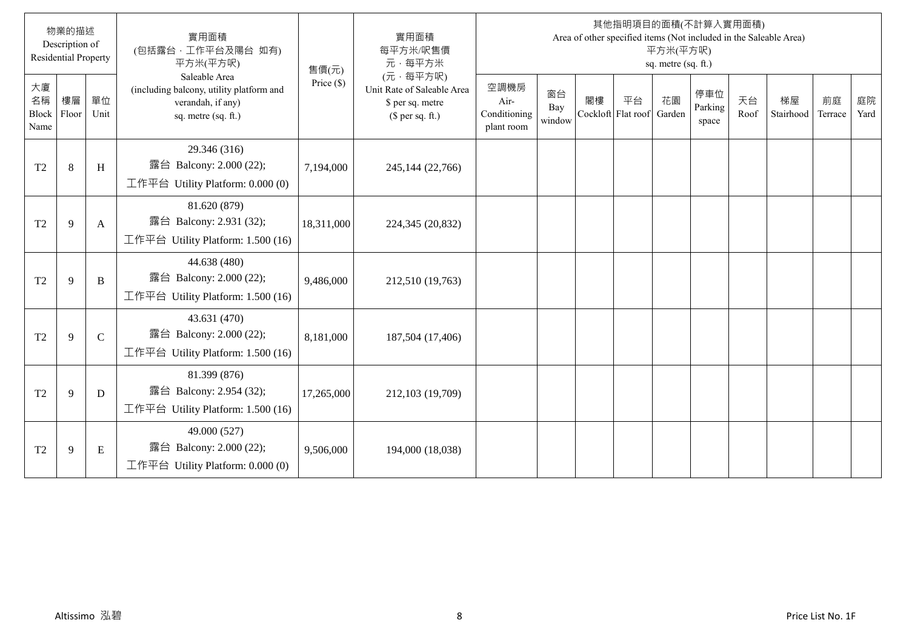|                           | 物業的描述<br>Description of<br><b>Residential Property</b> |               | 實用面積<br>(包括露台,工作平台及陽台 如有)<br>平方米(平方呎)                                                                 | 售價(元)        | 實用面積<br>每平方米/呎售價<br>元·每平方米                                                     |                                            |                     |    |                          | 平方米(平方呎)<br>sq. metre (sq. ft.) | 其他指明項目的面積(不計算入實用面積)<br>Area of other specified items (Not included in the Saleable Area) |            |                 |               |            |
|---------------------------|--------------------------------------------------------|---------------|-------------------------------------------------------------------------------------------------------|--------------|--------------------------------------------------------------------------------|--------------------------------------------|---------------------|----|--------------------------|---------------------------------|------------------------------------------------------------------------------------------|------------|-----------------|---------------|------------|
| 大廈<br>名稱<br>Block<br>Name | 樓層<br>Floor                                            | 單位<br>Unit    | Saleable Area<br>(including balcony, utility platform and<br>verandah, if any)<br>sq. metre (sq. ft.) | Price $(\$)$ | (元·每平方呎)<br>Unit Rate of Saleable Area<br>\$ per sq. metre<br>$$$ per sq. ft.) | 空調機房<br>Air-<br>Conditioning<br>plant room | 窗台<br>Bay<br>window | 閣樓 | 平台<br>Cockloft Flat roof | 花園<br>Garden                    | 停車位<br>Parking<br>space                                                                  | 天台<br>Roof | 梯屋<br>Stairhood | 前庭<br>Terrace | 庭院<br>Yard |
| T <sub>2</sub>            | 8                                                      | H             | 29.346 (316)<br>露台 Balcony: 2.000 (22);<br>工作平台 Utility Platform: 0.000 (0)                           | 7,194,000    | 245,144 (22,766)                                                               |                                            |                     |    |                          |                                 |                                                                                          |            |                 |               |            |
| T <sub>2</sub>            | 9                                                      | A             | 81.620 (879)<br>露台 Balcony: 2.931 (32);<br>工作平台 Utility Platform: 1.500 (16)                          | 18,311,000   | 224,345 (20,832)                                                               |                                            |                     |    |                          |                                 |                                                                                          |            |                 |               |            |
| T <sub>2</sub>            | 9                                                      | B             | 44.638 (480)<br>露台 Balcony: 2.000 (22);<br>工作平台 Utility Platform: 1.500 (16)                          | 9,486,000    | 212,510 (19,763)                                                               |                                            |                     |    |                          |                                 |                                                                                          |            |                 |               |            |
| T <sub>2</sub>            | 9                                                      | $\mathcal{C}$ | 43.631 (470)<br>露台 Balcony: 2.000 (22);<br>工作平台 Utility Platform: 1.500 (16)                          | 8,181,000    | 187,504 (17,406)                                                               |                                            |                     |    |                          |                                 |                                                                                          |            |                 |               |            |
| T <sub>2</sub>            | 9                                                      | D             | 81.399 (876)<br>露台 Balcony: 2.954 (32);<br>工作平台 Utility Platform: 1.500 (16)                          | 17,265,000   | 212,103 (19,709)                                                               |                                            |                     |    |                          |                                 |                                                                                          |            |                 |               |            |
| T <sub>2</sub>            | 9                                                      | E             | 49.000 (527)<br>露台 Balcony: 2.000 (22);<br>工作平台 Utility Platform: $0.000(0)$                          | 9,506,000    | 194,000 (18,038)                                                               |                                            |                     |    |                          |                                 |                                                                                          |            |                 |               |            |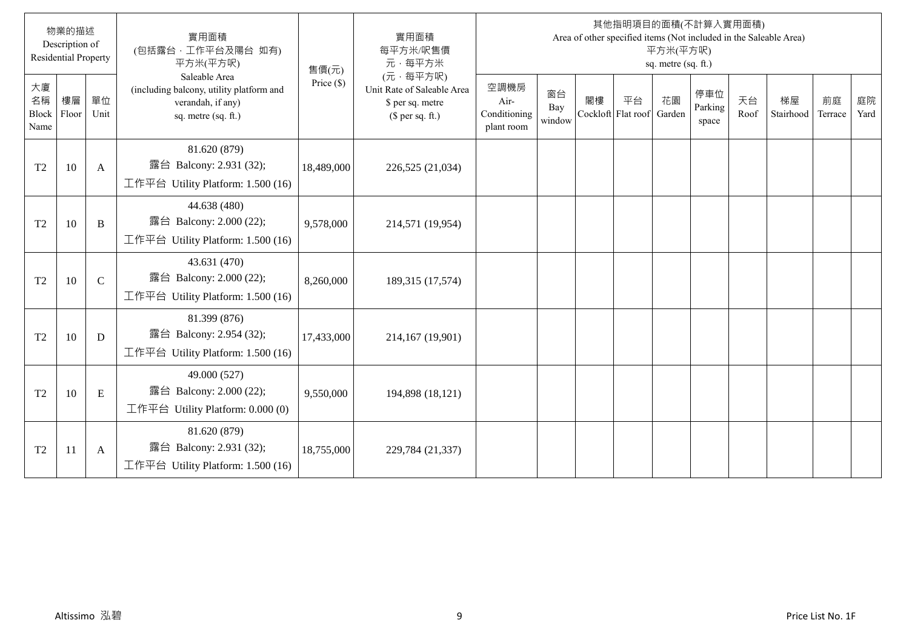|                           | 物業的描述<br>Description of<br><b>Residential Property</b> |               | 實用面積<br>(包括露台,工作平台及陽台 如有)<br>平方米(平方呎)                                                                 | 售價(元)        | 實用面積<br>每平方米/呎售價<br>元·每平方米                                                     |                                            |                     |    |                          | 平方米(平方呎)<br>sq. metre (sq. ft.) | 其他指明項目的面積(不計算入實用面積)<br>Area of other specified items (Not included in the Saleable Area) |            |                 |               |            |
|---------------------------|--------------------------------------------------------|---------------|-------------------------------------------------------------------------------------------------------|--------------|--------------------------------------------------------------------------------|--------------------------------------------|---------------------|----|--------------------------|---------------------------------|------------------------------------------------------------------------------------------|------------|-----------------|---------------|------------|
| 大廈<br>名稱<br>Block<br>Name | 樓層<br>Floor                                            | 單位<br>Unit    | Saleable Area<br>(including balcony, utility platform and<br>verandah, if any)<br>sq. metre (sq. ft.) | Price $(\$)$ | (元·每平方呎)<br>Unit Rate of Saleable Area<br>\$ per sq. metre<br>(\$ per sq. ft.) | 空調機房<br>Air-<br>Conditioning<br>plant room | 窗台<br>Bay<br>window | 閣樓 | 平台<br>Cockloft Flat roof | 花園<br>Garden                    | 停車位<br>Parking<br>space                                                                  | 天台<br>Roof | 梯屋<br>Stairhood | 前庭<br>Terrace | 庭院<br>Yard |
| T <sub>2</sub>            | 10                                                     | A             | 81.620 (879)<br>露台 Balcony: 2.931 (32);<br>工作平台 Utility Platform: 1.500 (16)                          | 18,489,000   | 226,525 (21,034)                                                               |                                            |                     |    |                          |                                 |                                                                                          |            |                 |               |            |
| T <sub>2</sub>            | 10                                                     | B             | 44.638 (480)<br>露台 Balcony: 2.000 (22);<br>工作平台 Utility Platform: 1.500 (16)                          | 9,578,000    | 214,571 (19,954)                                                               |                                            |                     |    |                          |                                 |                                                                                          |            |                 |               |            |
| T <sub>2</sub>            | 10                                                     | $\mathcal{C}$ | 43.631 (470)<br>露台 Balcony: 2.000 (22);<br>工作平台 Utility Platform: 1.500 (16)                          | 8,260,000    | 189,315 (17,574)                                                               |                                            |                     |    |                          |                                 |                                                                                          |            |                 |               |            |
| T <sub>2</sub>            | 10                                                     | D             | 81.399 (876)<br>露台 Balcony: 2.954 (32);<br>工作平台 Utility Platform: 1.500 (16)                          | 17,433,000   | 214,167 (19,901)                                                               |                                            |                     |    |                          |                                 |                                                                                          |            |                 |               |            |
| T <sub>2</sub>            | 10                                                     | E             | 49.000 (527)<br>露台 Balcony: 2.000 (22);<br>工作平台 Utility Platform: $0.000(0)$                          | 9,550,000    | 194,898 (18,121)                                                               |                                            |                     |    |                          |                                 |                                                                                          |            |                 |               |            |
| T <sub>2</sub>            | 11                                                     | A             | 81.620 (879)<br>露台 Balcony: 2.931 (32);<br>工作平台 Utility Platform: 1.500 (16)                          | 18,755,000   | 229,784 (21,337)                                                               |                                            |                     |    |                          |                                 |                                                                                          |            |                 |               |            |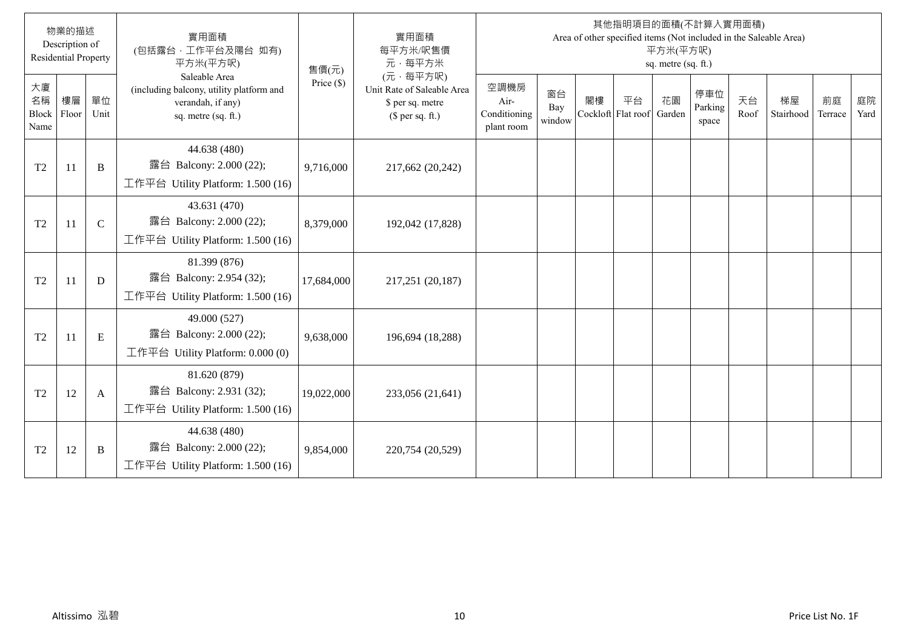|                           | 物業的描述<br>Description of<br><b>Residential Property</b> |               | 實用面積<br>(包括露台,工作平台及陽台 如有)<br>平方米(平方呎)                                                                 | 售價(元)        | 實用面積<br>每平方米/呎售價<br>元·每平方米                                                     |                                            |                     |    |                          | 平方米(平方呎)<br>sq. metre (sq. ft.) | 其他指明項目的面積(不計算入實用面積)<br>Area of other specified items (Not included in the Saleable Area) |            |                 |               |            |
|---------------------------|--------------------------------------------------------|---------------|-------------------------------------------------------------------------------------------------------|--------------|--------------------------------------------------------------------------------|--------------------------------------------|---------------------|----|--------------------------|---------------------------------|------------------------------------------------------------------------------------------|------------|-----------------|---------------|------------|
| 大廈<br>名稱<br>Block<br>Name | 樓層<br>Floor                                            | 單位<br>Unit    | Saleable Area<br>(including balcony, utility platform and<br>verandah, if any)<br>sq. metre (sq. ft.) | Price $(\$)$ | (元·每平方呎)<br>Unit Rate of Saleable Area<br>\$ per sq. metre<br>(\$ per sq. ft.) | 空調機房<br>Air-<br>Conditioning<br>plant room | 窗台<br>Bay<br>window | 閣樓 | 平台<br>Cockloft Flat roof | 花園<br>Garden                    | 停車位<br>Parking<br>space                                                                  | 天台<br>Roof | 梯屋<br>Stairhood | 前庭<br>Terrace | 庭院<br>Yard |
| T <sub>2</sub>            | 11                                                     | B             | 44.638 (480)<br>露台 Balcony: 2.000 (22);<br>工作平台 Utility Platform: 1.500 (16)                          | 9,716,000    | 217,662 (20,242)                                                               |                                            |                     |    |                          |                                 |                                                                                          |            |                 |               |            |
| T <sub>2</sub>            | 11                                                     | $\mathcal{C}$ | 43.631 (470)<br>露台 Balcony: 2.000 (22);<br>工作平台 Utility Platform: 1.500 (16)                          | 8,379,000    | 192,042 (17,828)                                                               |                                            |                     |    |                          |                                 |                                                                                          |            |                 |               |            |
| T <sub>2</sub>            | 11                                                     | D             | 81.399 (876)<br>露台 Balcony: 2.954 (32);<br>工作平台 Utility Platform: 1.500 (16)                          | 17,684,000   | 217,251 (20,187)                                                               |                                            |                     |    |                          |                                 |                                                                                          |            |                 |               |            |
| T <sub>2</sub>            | 11                                                     | E             | 49.000 (527)<br>露台 Balcony: 2.000 (22);<br>工作平台 Utility Platform: 0.000 (0)                           | 9,638,000    | 196,694 (18,288)                                                               |                                            |                     |    |                          |                                 |                                                                                          |            |                 |               |            |
| T <sub>2</sub>            | 12                                                     | A             | 81.620 (879)<br>露台 Balcony: 2.931 (32);<br>工作平台 Utility Platform: 1.500 (16)                          | 19,022,000   | 233,056 (21,641)                                                               |                                            |                     |    |                          |                                 |                                                                                          |            |                 |               |            |
| T <sub>2</sub>            | 12                                                     | B             | 44.638 (480)<br>露台 Balcony: 2.000 (22);<br>工作平台 Utility Platform: 1.500 (16)                          | 9,854,000    | 220,754 (20,529)                                                               |                                            |                     |    |                          |                                 |                                                                                          |            |                 |               |            |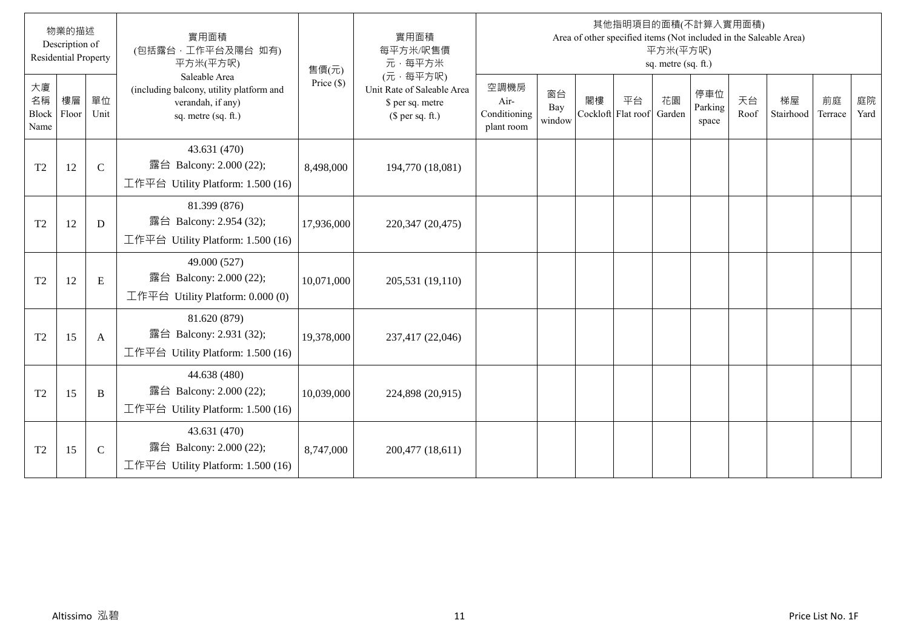|                           | 物業的描述<br>Description of<br><b>Residential Property</b> |               | 實用面積<br>(包括露台,工作平台及陽台 如有)<br>平方米(平方呎)                                                                 | 售價(元)        | 實用面積<br>每平方米/呎售價<br>元·每平方米                                                     |                                            |                     |    |                          | 平方米(平方呎)<br>sq. metre (sq. ft.) | 其他指明項目的面積(不計算入實用面積)<br>Area of other specified items (Not included in the Saleable Area) |            |                 |               |            |
|---------------------------|--------------------------------------------------------|---------------|-------------------------------------------------------------------------------------------------------|--------------|--------------------------------------------------------------------------------|--------------------------------------------|---------------------|----|--------------------------|---------------------------------|------------------------------------------------------------------------------------------|------------|-----------------|---------------|------------|
| 大廈<br>名稱<br>Block<br>Name | 樓層<br>Floor                                            | 單位<br>Unit    | Saleable Area<br>(including balcony, utility platform and<br>verandah, if any)<br>sq. metre (sq. ft.) | Price $(\$)$ | (元·每平方呎)<br>Unit Rate of Saleable Area<br>\$ per sq. metre<br>(\$ per sq. ft.) | 空調機房<br>Air-<br>Conditioning<br>plant room | 窗台<br>Bay<br>window | 閣樓 | 平台<br>Cockloft Flat roof | 花園<br>Garden                    | 停車位<br>Parking<br>space                                                                  | 天台<br>Roof | 梯屋<br>Stairhood | 前庭<br>Terrace | 庭院<br>Yard |
| T <sub>2</sub>            | 12                                                     | $\mathcal{C}$ | 43.631 (470)<br>露台 Balcony: 2.000 (22);<br>工作平台 Utility Platform: 1.500 (16)                          | 8,498,000    | 194,770 (18,081)                                                               |                                            |                     |    |                          |                                 |                                                                                          |            |                 |               |            |
| T <sub>2</sub>            | 12                                                     | D             | 81.399 (876)<br>露台 Balcony: 2.954 (32);<br>工作平台 Utility Platform: 1.500 (16)                          | 17,936,000   | 220,347 (20,475)                                                               |                                            |                     |    |                          |                                 |                                                                                          |            |                 |               |            |
| T <sub>2</sub>            | 12                                                     | E             | 49.000 (527)<br>露台 Balcony: 2.000 (22);<br>工作平台 Utility Platform: 0.000 (0)                           | 10,071,000   | 205,531 (19,110)                                                               |                                            |                     |    |                          |                                 |                                                                                          |            |                 |               |            |
| T <sub>2</sub>            | 15                                                     | A             | 81.620 (879)<br>露台 Balcony: 2.931 (32);<br>工作平台 Utility Platform: 1.500 (16)                          | 19,378,000   | 237,417 (22,046)                                                               |                                            |                     |    |                          |                                 |                                                                                          |            |                 |               |            |
| T <sub>2</sub>            | 15                                                     | B             | 44.638 (480)<br>露台 Balcony: 2.000 (22);<br>工作平台 Utility Platform: 1.500 (16)                          | 10,039,000   | 224,898 (20,915)                                                               |                                            |                     |    |                          |                                 |                                                                                          |            |                 |               |            |
| T <sub>2</sub>            | 15                                                     | $\mathsf{C}$  | 43.631 (470)<br>露台 Balcony: 2.000 (22);<br>工作平台 Utility Platform: 1.500 (16)                          | 8,747,000    | 200,477 (18,611)                                                               |                                            |                     |    |                          |                                 |                                                                                          |            |                 |               |            |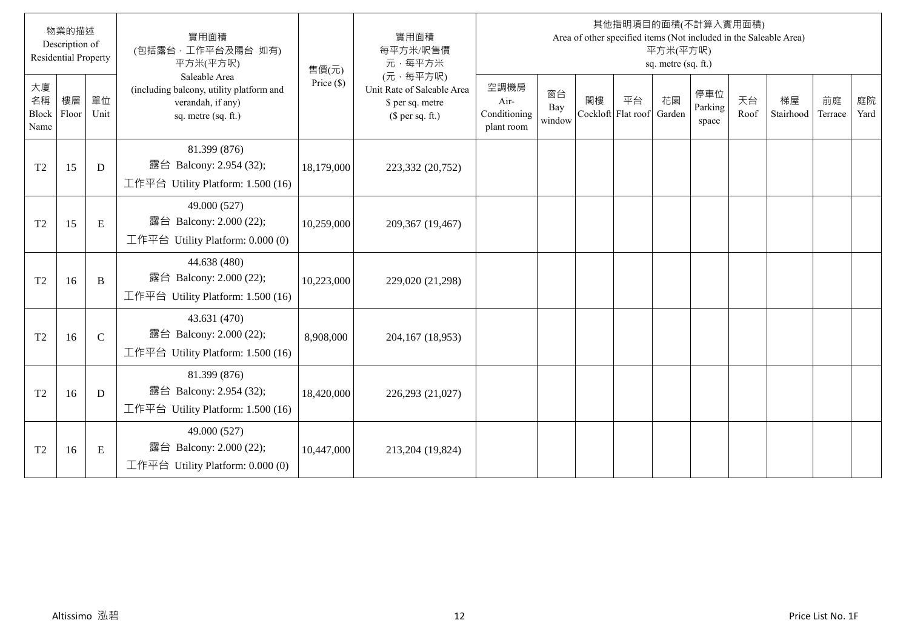|                           | 物業的描述<br>Description of<br><b>Residential Property</b> |               | 實用面積<br>(包括露台,工作平台及陽台 如有)<br>平方米(平方呎)                                                                 | 售價(元)        | 實用面積<br>每平方米/呎售價<br>元·每平方米                                                     |                                            |                     |    |                          | 平方米(平方呎)<br>sq. metre (sq. ft.) | 其他指明項目的面積(不計算入實用面積)<br>Area of other specified items (Not included in the Saleable Area) |            |                 |               |            |
|---------------------------|--------------------------------------------------------|---------------|-------------------------------------------------------------------------------------------------------|--------------|--------------------------------------------------------------------------------|--------------------------------------------|---------------------|----|--------------------------|---------------------------------|------------------------------------------------------------------------------------------|------------|-----------------|---------------|------------|
| 大廈<br>名稱<br>Block<br>Name | 樓層<br>Floor                                            | 單位<br>Unit    | Saleable Area<br>(including balcony, utility platform and<br>verandah, if any)<br>sq. metre (sq. ft.) | Price $(\$)$ | (元·每平方呎)<br>Unit Rate of Saleable Area<br>\$ per sq. metre<br>(\$ per sq. ft.) | 空調機房<br>Air-<br>Conditioning<br>plant room | 窗台<br>Bay<br>window | 閣樓 | 平台<br>Cockloft Flat roof | 花園<br>Garden                    | 停車位<br>Parking<br>space                                                                  | 天台<br>Roof | 梯屋<br>Stairhood | 前庭<br>Terrace | 庭院<br>Yard |
| T <sub>2</sub>            | 15                                                     | D             | 81.399 (876)<br>露台 Balcony: 2.954 (32);<br>工作平台 Utility Platform: 1.500 (16)                          | 18,179,000   | 223,332 (20,752)                                                               |                                            |                     |    |                          |                                 |                                                                                          |            |                 |               |            |
| T <sub>2</sub>            | 15                                                     | E             | 49.000 (527)<br>露台 Balcony: 2.000 (22);<br>工作平台 Utility Platform: $0.000(0)$                          | 10,259,000   | 209,367 (19,467)                                                               |                                            |                     |    |                          |                                 |                                                                                          |            |                 |               |            |
| T <sub>2</sub>            | 16                                                     | B             | 44.638 (480)<br>露台 Balcony: 2.000 (22);<br>工作平台 Utility Platform: 1.500 (16)                          | 10,223,000   | 229,020 (21,298)                                                               |                                            |                     |    |                          |                                 |                                                                                          |            |                 |               |            |
| T <sub>2</sub>            | 16                                                     | $\mathcal{C}$ | 43.631 (470)<br>露台 Balcony: 2.000 (22);<br>工作平台 Utility Platform: 1.500 (16)                          | 8,908,000    | 204,167 (18,953)                                                               |                                            |                     |    |                          |                                 |                                                                                          |            |                 |               |            |
| T <sub>2</sub>            | 16                                                     | D             | 81.399 (876)<br>露台 Balcony: 2.954 (32);<br>工作平台 Utility Platform: 1.500 (16)                          | 18,420,000   | 226,293 (21,027)                                                               |                                            |                     |    |                          |                                 |                                                                                          |            |                 |               |            |
| T <sub>2</sub>            | 16                                                     | E             | 49.000 (527)<br>露台 Balcony: 2.000 (22);<br>工作平台 Utility Platform: $0.000(0)$                          | 10,447,000   | 213,204 (19,824)                                                               |                                            |                     |    |                          |                                 |                                                                                          |            |                 |               |            |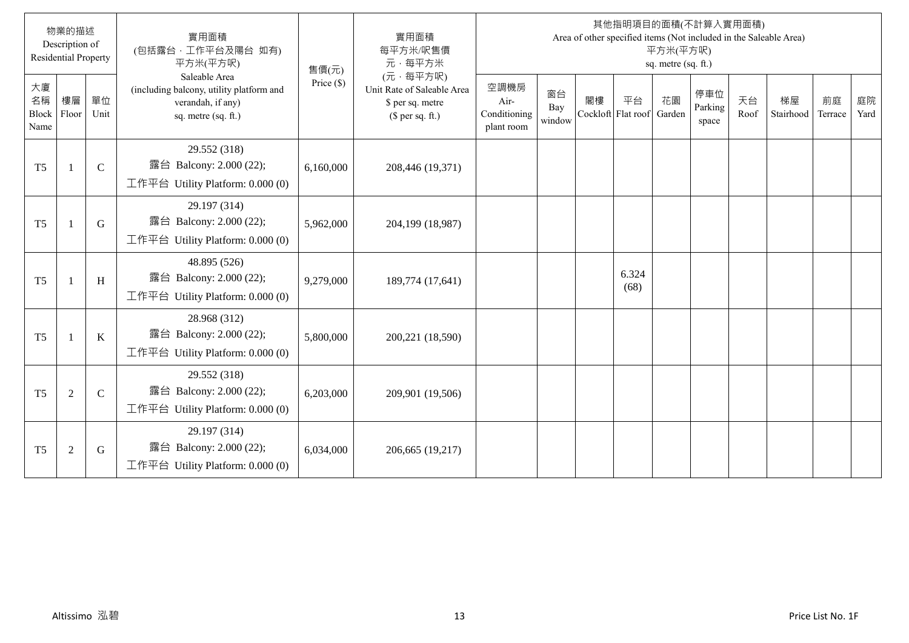|                           | 物業的描述<br>Description of<br><b>Residential Property</b> |               | 實用面積<br>(包括露台,工作平台及陽台 如有)<br>平方米(平方呎)                                                                 | 售價(元)        | 實用面積<br>每平方米/呎售價<br>元·每平方米                                                     |                                            |                     |    |                          | 平方米(平方呎)<br>sq. metre (sq. ft.) | 其他指明項目的面積(不計算入實用面積)<br>Area of other specified items (Not included in the Saleable Area) |            |                 |               |            |
|---------------------------|--------------------------------------------------------|---------------|-------------------------------------------------------------------------------------------------------|--------------|--------------------------------------------------------------------------------|--------------------------------------------|---------------------|----|--------------------------|---------------------------------|------------------------------------------------------------------------------------------|------------|-----------------|---------------|------------|
| 大廈<br>名稱<br>Block<br>Name | 樓層<br>Floor                                            | 單位<br>Unit    | Saleable Area<br>(including balcony, utility platform and<br>verandah, if any)<br>sq. metre (sq. ft.) | Price $(\$)$ | (元·每平方呎)<br>Unit Rate of Saleable Area<br>\$ per sq. metre<br>(\$ per sq. ft.) | 空調機房<br>Air-<br>Conditioning<br>plant room | 窗台<br>Bay<br>window | 閣樓 | 平台<br>Cockloft Flat roof | 花園<br>Garden                    | 停車位<br>Parking<br>space                                                                  | 天台<br>Roof | 梯屋<br>Stairhood | 前庭<br>Terrace | 庭院<br>Yard |
| T <sub>5</sub>            | $\overline{1}$                                         | $\mathcal{C}$ | 29.552 (318)<br>露台 Balcony: 2.000 (22);<br>工作平台 Utility Platform: 0.000 (0)                           | 6,160,000    | 208,446 (19,371)                                                               |                                            |                     |    |                          |                                 |                                                                                          |            |                 |               |            |
| T <sub>5</sub>            | $\overline{1}$                                         | G             | 29.197 (314)<br>露台 Balcony: 2.000 (22);<br>工作平台 Utility Platform: $0.000(0)$                          | 5,962,000    | 204,199 (18,987)                                                               |                                            |                     |    |                          |                                 |                                                                                          |            |                 |               |            |
| T <sub>5</sub>            | $\mathbf{1}$                                           | H             | 48.895 (526)<br>露台 Balcony: 2.000 (22);<br>工作平台 Utility Platform: 0.000 (0)                           | 9,279,000    | 189,774 (17,641)                                                               |                                            |                     |    | 6.324<br>(68)            |                                 |                                                                                          |            |                 |               |            |
| T <sub>5</sub>            | $\mathbf{1}$                                           | K             | 28.968 (312)<br>露台 Balcony: 2.000 (22);<br>工作平台 Utility Platform: $0.000(0)$                          | 5,800,000    | 200,221 (18,590)                                                               |                                            |                     |    |                          |                                 |                                                                                          |            |                 |               |            |
| T <sub>5</sub>            | $\sqrt{2}$                                             | $\mathsf{C}$  | 29.552 (318)<br>露台 Balcony: 2.000 (22);<br>工作平台 Utility Platform: $0.000(0)$                          | 6,203,000    | 209,901 (19,506)                                                               |                                            |                     |    |                          |                                 |                                                                                          |            |                 |               |            |
| T <sub>5</sub>            | $\overline{2}$                                         | G             | 29.197 (314)<br>露台 Balcony: 2.000 (22);<br>工作平台 Utility Platform: $0.000(0)$                          | 6,034,000    | 206,665 (19,217)                                                               |                                            |                     |    |                          |                                 |                                                                                          |            |                 |               |            |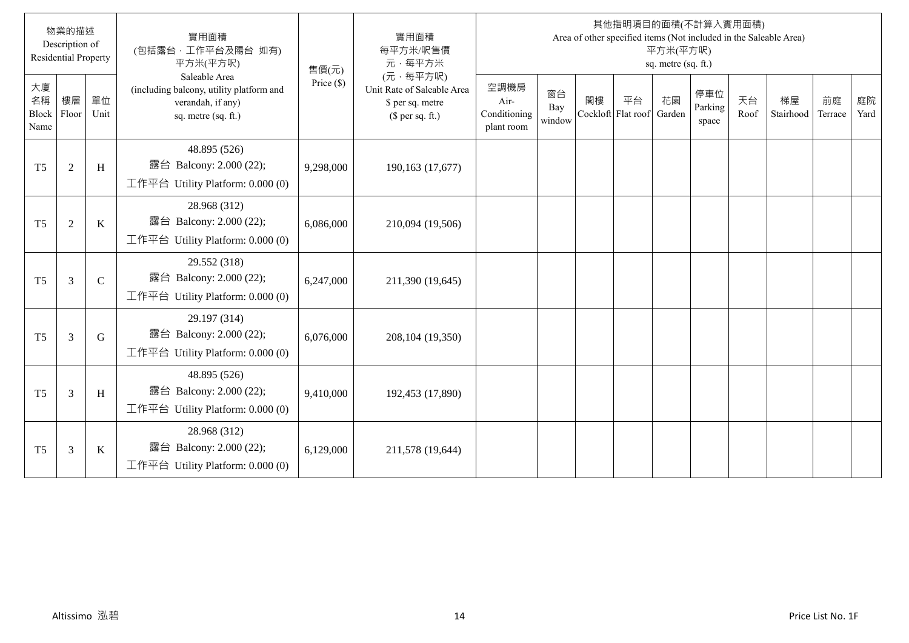|                                  | 物業的描述<br>Description of<br><b>Residential Property</b> |              | 實用面積<br>(包括露台, 工作平台及陽台 如有)<br>平方米(平方呎)                                                                | 售價(元)      | 實用面積<br>每平方米/呎售價<br>元·每平方米                                                     |                                            |                     |                          |    | 平方米(平方呎)<br>sq. metre (sq. ft.) | 其他指明項目的面積(不計算入實用面積)<br>Area of other specified items (Not included in the Saleable Area) |            |                 |               |            |
|----------------------------------|--------------------------------------------------------|--------------|-------------------------------------------------------------------------------------------------------|------------|--------------------------------------------------------------------------------|--------------------------------------------|---------------------|--------------------------|----|---------------------------------|------------------------------------------------------------------------------------------|------------|-----------------|---------------|------------|
| 大廈<br>名稱<br><b>Block</b><br>Name | 樓層<br>Floor                                            | 單位<br>Unit   | Saleable Area<br>(including balcony, utility platform and<br>verandah, if any)<br>sq. metre (sq. ft.) | Price (\$) | (元·每平方呎)<br>Unit Rate of Saleable Area<br>\$ per sq. metre<br>(\$ per sq. ft.) | 空調機房<br>Air-<br>Conditioning<br>plant room | 窗台<br>Bay<br>window | 閣樓<br>Cockloft Flat roof | 平台 | 花園<br>Garden                    | 停車位<br>Parking<br>space                                                                  | 天台<br>Roof | 梯屋<br>Stairhood | 前庭<br>Terrace | 庭院<br>Yard |
| T <sub>5</sub>                   | $\overline{2}$                                         | H            | 48.895 (526)<br>露台 Balcony: 2.000 (22);<br>工作平台 Utility Platform: 0.000 (0)                           | 9,298,000  | 190,163 (17,677)                                                               |                                            |                     |                          |    |                                 |                                                                                          |            |                 |               |            |
| T <sub>5</sub>                   | $\overline{2}$                                         | K            | 28.968 (312)<br>露台 Balcony: 2.000 (22);<br>工作平台 Utility Platform: $0.000(0)$                          | 6,086,000  | 210,094 (19,506)                                                               |                                            |                     |                          |    |                                 |                                                                                          |            |                 |               |            |
| T <sub>5</sub>                   | 3                                                      | $\mathsf{C}$ | 29.552 (318)<br>露台 Balcony: 2.000 (22);<br>工作平台 Utility Platform: $0.000(0)$                          | 6,247,000  | 211,390 (19,645)                                                               |                                            |                     |                          |    |                                 |                                                                                          |            |                 |               |            |
| T <sub>5</sub>                   | 3                                                      | G            | 29.197 (314)<br>露台 Balcony: 2.000 (22);<br>工作平台 Utility Platform: $0.000(0)$                          | 6,076,000  | 208,104 (19,350)                                                               |                                            |                     |                          |    |                                 |                                                                                          |            |                 |               |            |
| T <sub>5</sub>                   | 3                                                      | H            | 48.895 (526)<br>露台 Balcony: 2.000 (22);<br>工作平台 Utility Platform: 0.000 (0)                           | 9,410,000  | 192,453 (17,890)                                                               |                                            |                     |                          |    |                                 |                                                                                          |            |                 |               |            |
| T <sub>5</sub>                   | 3                                                      | $\bf K$      | 28.968 (312)<br>露台 Balcony: 2.000 (22);<br>工作平台 Utility Platform: $0.000(0)$                          | 6,129,000  | 211,578 (19,644)                                                               |                                            |                     |                          |    |                                 |                                                                                          |            |                 |               |            |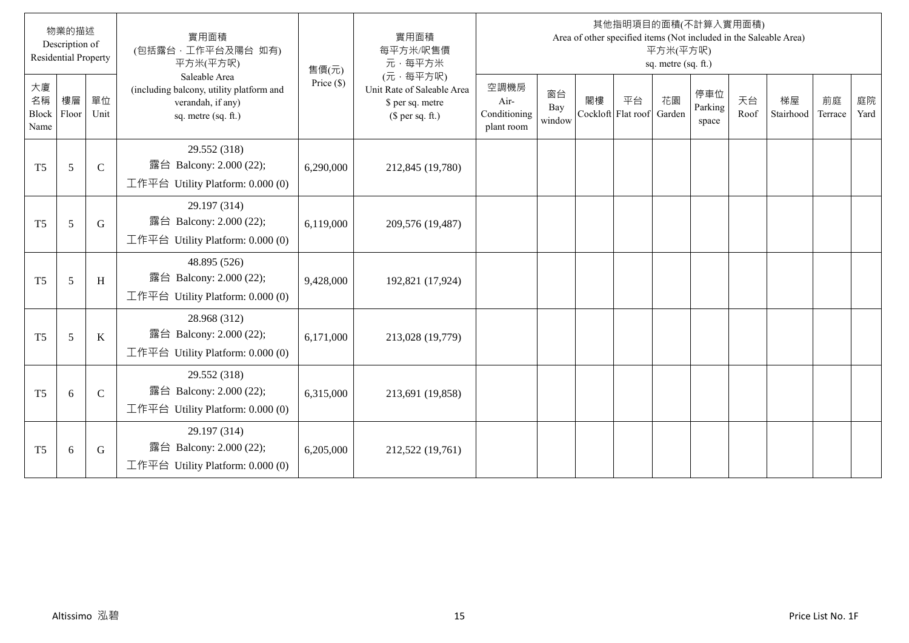|                           | 物業的描述<br>Description of<br><b>Residential Property</b> |               | 實用面積<br>(包括露台,工作平台及陽台 如有)<br>平方米(平方呎)                                                                 | 售價(元)        | 實用面積<br>每平方米/呎售價<br>元·每平方米                                                     |                                            |                     |    |                          | 平方米(平方呎)<br>sq. metre (sq. ft.) | 其他指明項目的面積(不計算入實用面積)<br>Area of other specified items (Not included in the Saleable Area) |            |                 |               |            |
|---------------------------|--------------------------------------------------------|---------------|-------------------------------------------------------------------------------------------------------|--------------|--------------------------------------------------------------------------------|--------------------------------------------|---------------------|----|--------------------------|---------------------------------|------------------------------------------------------------------------------------------|------------|-----------------|---------------|------------|
| 大廈<br>名稱<br>Block<br>Name | 樓層<br>Floor                                            | 單位<br>Unit    | Saleable Area<br>(including balcony, utility platform and<br>verandah, if any)<br>sq. metre (sq. ft.) | Price $(\$)$ | (元·每平方呎)<br>Unit Rate of Saleable Area<br>\$ per sq. metre<br>(\$ per sq. ft.) | 空調機房<br>Air-<br>Conditioning<br>plant room | 窗台<br>Bay<br>window | 閣樓 | 平台<br>Cockloft Flat roof | 花園<br>Garden                    | 停車位<br>Parking<br>space                                                                  | 天台<br>Roof | 梯屋<br>Stairhood | 前庭<br>Terrace | 庭院<br>Yard |
| T <sub>5</sub>            | 5                                                      | $\mathcal{C}$ | 29.552 (318)<br>露台 Balcony: 2.000 (22);<br>工作平台 Utility Platform: 0.000 (0)                           | 6,290,000    | 212,845 (19,780)                                                               |                                            |                     |    |                          |                                 |                                                                                          |            |                 |               |            |
| T <sub>5</sub>            | 5                                                      | G             | 29.197 (314)<br>露台 Balcony: 2.000 (22);<br>工作平台 Utility Platform: $0.000(0)$                          | 6,119,000    | 209,576 (19,487)                                                               |                                            |                     |    |                          |                                 |                                                                                          |            |                 |               |            |
| T <sub>5</sub>            | 5                                                      | H             | 48.895 (526)<br>露台 Balcony: 2.000 (22);<br>工作平台 Utility Platform: 0.000 (0)                           | 9,428,000    | 192,821 (17,924)                                                               |                                            |                     |    |                          |                                 |                                                                                          |            |                 |               |            |
| T <sub>5</sub>            | 5                                                      | K             | 28.968 (312)<br>露台 Balcony: 2.000 (22);<br>工作平台 Utility Platform: 0.000 (0)                           | 6,171,000    | 213,028 (19,779)                                                               |                                            |                     |    |                          |                                 |                                                                                          |            |                 |               |            |
| T <sub>5</sub>            | 6                                                      | $\mathsf{C}$  | 29.552 (318)<br>露台 Balcony: 2.000 (22);<br>工作平台 Utility Platform: $0.000(0)$                          | 6,315,000    | 213,691 (19,858)                                                               |                                            |                     |    |                          |                                 |                                                                                          |            |                 |               |            |
| T <sub>5</sub>            | 6                                                      | G             | 29.197 (314)<br>露台 Balcony: 2.000 (22);<br>工作平台 Utility Platform: $0.000(0)$                          | 6,205,000    | 212,522 (19,761)                                                               |                                            |                     |    |                          |                                 |                                                                                          |            |                 |               |            |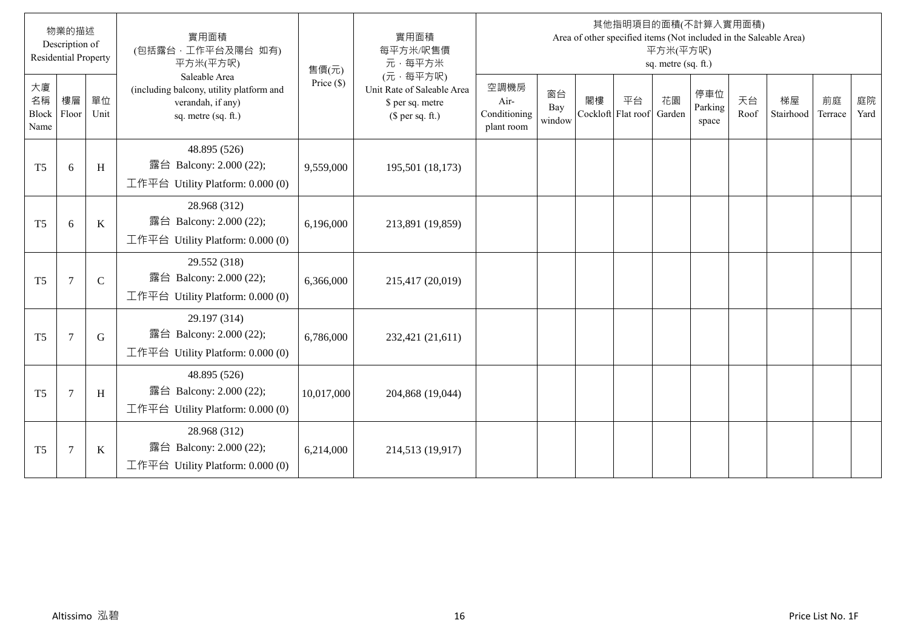|                           | 物業的描述<br>Description of<br><b>Residential Property</b> |              | 實用面積<br>(包括露台,工作平台及陽台 如有)<br>平方米(平方呎)                                                                 | 售價(元)        | 實用面積<br>每平方米/呎售價<br>元·每平方米                                                     |                                            |                     |    |                          | 平方米(平方呎)<br>sq. metre (sq. ft.) | 其他指明項目的面積(不計算入實用面積)<br>Area of other specified items (Not included in the Saleable Area) |            |                 |               |            |
|---------------------------|--------------------------------------------------------|--------------|-------------------------------------------------------------------------------------------------------|--------------|--------------------------------------------------------------------------------|--------------------------------------------|---------------------|----|--------------------------|---------------------------------|------------------------------------------------------------------------------------------|------------|-----------------|---------------|------------|
| 大廈<br>名稱<br>Block<br>Name | 樓層<br>Floor                                            | 單位<br>Unit   | Saleable Area<br>(including balcony, utility platform and<br>verandah, if any)<br>sq. metre (sq. ft.) | Price $(\$)$ | (元·每平方呎)<br>Unit Rate of Saleable Area<br>\$ per sq. metre<br>(\$ per sq. ft.) | 空調機房<br>Air-<br>Conditioning<br>plant room | 窗台<br>Bay<br>window | 閣樓 | 平台<br>Cockloft Flat roof | 花園<br>Garden                    | 停車位<br>Parking<br>space                                                                  | 天台<br>Roof | 梯屋<br>Stairhood | 前庭<br>Terrace | 庭院<br>Yard |
| T <sub>5</sub>            | 6                                                      | H            | 48.895 (526)<br>露台 Balcony: 2.000 (22);<br>工作平台 Utility Platform: 0.000 (0)                           | 9,559,000    | 195,501 (18,173)                                                               |                                            |                     |    |                          |                                 |                                                                                          |            |                 |               |            |
| T <sub>5</sub>            | 6                                                      | K            | 28.968 (312)<br>露台 Balcony: 2.000 (22);<br>工作平台 Utility Platform: 0.000 (0)                           | 6,196,000    | 213,891 (19,859)                                                               |                                            |                     |    |                          |                                 |                                                                                          |            |                 |               |            |
| T <sub>5</sub>            | $\overline{7}$                                         | $\mathsf{C}$ | 29.552 (318)<br>露台 Balcony: 2.000 (22);<br>工作平台 Utility Platform: 0.000 (0)                           | 6,366,000    | 215,417 (20,019)                                                               |                                            |                     |    |                          |                                 |                                                                                          |            |                 |               |            |
| T <sub>5</sub>            | $\overline{7}$                                         | G            | 29.197 (314)<br>露台 Balcony: 2.000 (22);<br>工作平台 Utility Platform: 0.000 (0)                           | 6,786,000    | 232,421 (21,611)                                                               |                                            |                     |    |                          |                                 |                                                                                          |            |                 |               |            |
| T <sub>5</sub>            | $\overline{7}$                                         | H            | 48.895 (526)<br>露台 Balcony: 2.000 (22);<br>工作平台 Utility Platform: $0.000(0)$                          | 10,017,000   | 204,868 (19,044)                                                               |                                            |                     |    |                          |                                 |                                                                                          |            |                 |               |            |
| T <sub>5</sub>            | $\overline{7}$                                         | K            | 28.968 (312)<br>露台 Balcony: 2.000 (22);<br>工作平台 Utility Platform: $0.000(0)$                          | 6,214,000    | 214,513 (19,917)                                                               |                                            |                     |    |                          |                                 |                                                                                          |            |                 |               |            |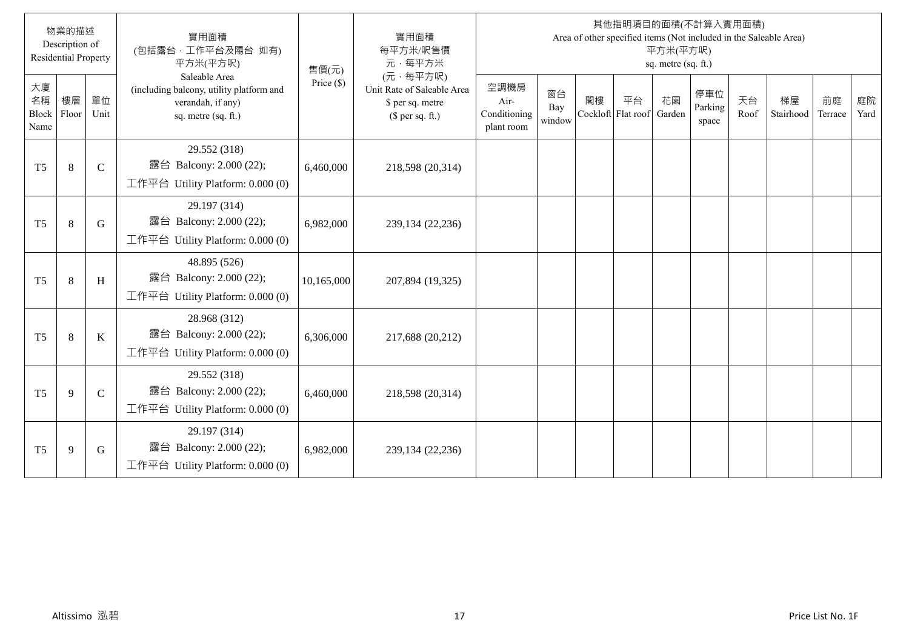|                           | 物業的描述<br>Description of<br><b>Residential Property</b> |               | 實用面積<br>(包括露台,工作平台及陽台 如有)<br>平方米(平方呎)                                                                 | 售價(元)        | 實用面積<br>每平方米/呎售價<br>元·每平方米                                                     |                                            |                     |    |                          | 平方米(平方呎)<br>sq. metre (sq. ft.) | 其他指明項目的面積(不計算入實用面積)<br>Area of other specified items (Not included in the Saleable Area) |            |                 |               |            |
|---------------------------|--------------------------------------------------------|---------------|-------------------------------------------------------------------------------------------------------|--------------|--------------------------------------------------------------------------------|--------------------------------------------|---------------------|----|--------------------------|---------------------------------|------------------------------------------------------------------------------------------|------------|-----------------|---------------|------------|
| 大廈<br>名稱<br>Block<br>Name | 樓層<br>Floor                                            | 單位<br>Unit    | Saleable Area<br>(including balcony, utility platform and<br>verandah, if any)<br>sq. metre (sq. ft.) | Price $(\$)$ | (元·每平方呎)<br>Unit Rate of Saleable Area<br>\$ per sq. metre<br>(\$ per sq. ft.) | 空調機房<br>Air-<br>Conditioning<br>plant room | 窗台<br>Bay<br>window | 閣樓 | 平台<br>Cockloft Flat roof | 花園<br>Garden                    | 停車位<br>Parking<br>space                                                                  | 天台<br>Roof | 梯屋<br>Stairhood | 前庭<br>Terrace | 庭院<br>Yard |
| T <sub>5</sub>            | 8                                                      | $\mathcal{C}$ | 29.552 (318)<br>露台 Balcony: 2.000 (22);<br>工作平台 Utility Platform: 0.000 (0)                           | 6,460,000    | 218,598 (20,314)                                                               |                                            |                     |    |                          |                                 |                                                                                          |            |                 |               |            |
| T <sub>5</sub>            | 8                                                      | G             | 29.197 (314)<br>露台 Balcony: 2.000 (22);<br>工作平台 Utility Platform: $0.000(0)$                          | 6,982,000    | 239,134 (22,236)                                                               |                                            |                     |    |                          |                                 |                                                                                          |            |                 |               |            |
| T <sub>5</sub>            | $\,8\,$                                                | H             | 48.895 (526)<br>露台 Balcony: 2.000 (22);<br>工作平台 Utility Platform: 0.000 (0)                           | 10,165,000   | 207,894 (19,325)                                                               |                                            |                     |    |                          |                                 |                                                                                          |            |                 |               |            |
| T <sub>5</sub>            | 8                                                      | K             | 28.968 (312)<br>露台 Balcony: 2.000 (22);<br>工作平台 Utility Platform: $0.000(0)$                          | 6,306,000    | 217,688 (20,212)                                                               |                                            |                     |    |                          |                                 |                                                                                          |            |                 |               |            |
| T <sub>5</sub>            | 9                                                      | $\mathsf{C}$  | 29.552 (318)<br>露台 Balcony: 2.000 (22);<br>工作平台 Utility Platform: $0.000(0)$                          | 6,460,000    | 218,598 (20,314)                                                               |                                            |                     |    |                          |                                 |                                                                                          |            |                 |               |            |
| T <sub>5</sub>            | 9                                                      | G             | 29.197 (314)<br>露台 Balcony: 2.000 (22);<br>工作平台 Utility Platform: $0.000(0)$                          | 6,982,000    | 239,134 (22,236)                                                               |                                            |                     |    |                          |                                 |                                                                                          |            |                 |               |            |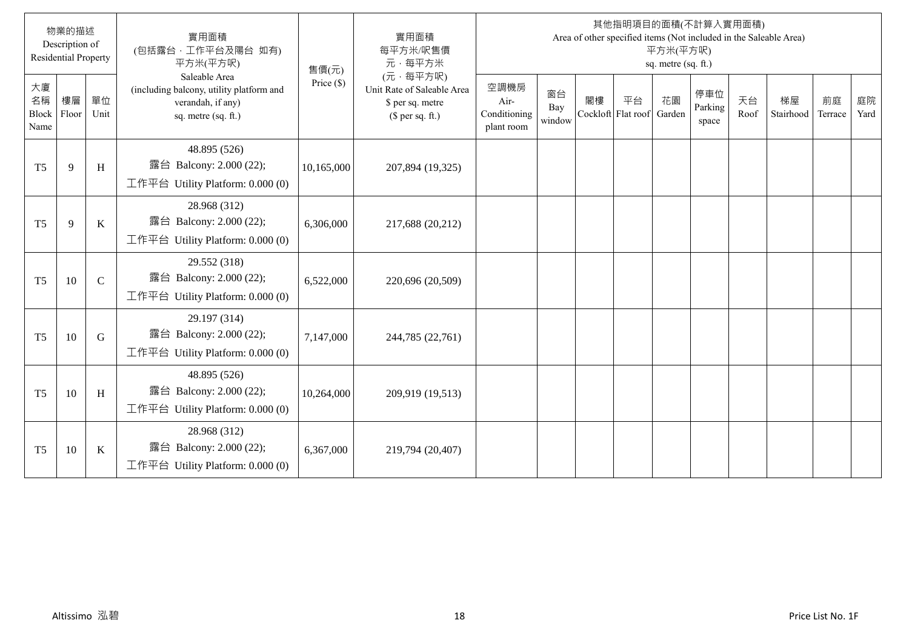|                           | 物業的描述<br>Description of<br><b>Residential Property</b> |              | 實用面積<br>(包括露台,工作平台及陽台 如有)<br>平方米(平方呎)                                                                 | 售價(元)        | 實用面積<br>每平方米/呎售價<br>元·每平方米                                                     |                                            |                     |    |                          | 平方米(平方呎)<br>sq. metre (sq. ft.) | 其他指明項目的面積(不計算入實用面積)<br>Area of other specified items (Not included in the Saleable Area) |            |                 |               |            |
|---------------------------|--------------------------------------------------------|--------------|-------------------------------------------------------------------------------------------------------|--------------|--------------------------------------------------------------------------------|--------------------------------------------|---------------------|----|--------------------------|---------------------------------|------------------------------------------------------------------------------------------|------------|-----------------|---------------|------------|
| 大廈<br>名稱<br>Block<br>Name | 樓層<br>Floor                                            | 單位<br>Unit   | Saleable Area<br>(including balcony, utility platform and<br>verandah, if any)<br>sq. metre (sq. ft.) | Price $(\$)$ | (元·每平方呎)<br>Unit Rate of Saleable Area<br>\$ per sq. metre<br>(\$ per sq. ft.) | 空調機房<br>Air-<br>Conditioning<br>plant room | 窗台<br>Bay<br>window | 閣樓 | 平台<br>Cockloft Flat roof | 花園<br>Garden                    | 停車位<br>Parking<br>space                                                                  | 天台<br>Roof | 梯屋<br>Stairhood | 前庭<br>Terrace | 庭院<br>Yard |
| T <sub>5</sub>            | 9                                                      | H            | 48.895 (526)<br>露台 Balcony: 2.000 (22);<br>工作平台 Utility Platform: 0.000 (0)                           | 10,165,000   | 207,894 (19,325)                                                               |                                            |                     |    |                          |                                 |                                                                                          |            |                 |               |            |
| T <sub>5</sub>            | 9                                                      | K            | 28.968 (312)<br>露台 Balcony: 2.000 (22);<br>工作平台 Utility Platform: 0.000 (0)                           | 6,306,000    | 217,688 (20,212)                                                               |                                            |                     |    |                          |                                 |                                                                                          |            |                 |               |            |
| T <sub>5</sub>            | 10                                                     | $\mathsf{C}$ | 29.552 (318)<br>露台 Balcony: 2.000 (22);<br>工作平台 Utility Platform: 0.000 (0)                           | 6,522,000    | 220,696 (20,509)                                                               |                                            |                     |    |                          |                                 |                                                                                          |            |                 |               |            |
| T <sub>5</sub>            | 10                                                     | G            | 29.197 (314)<br>露台 Balcony: 2.000 (22);<br>工作平台 Utility Platform: $0.000(0)$                          | 7,147,000    | 244,785 (22,761)                                                               |                                            |                     |    |                          |                                 |                                                                                          |            |                 |               |            |
| T <sub>5</sub>            | 10                                                     | H            | 48.895 (526)<br>露台 Balcony: 2.000 (22);<br>工作平台 Utility Platform: $0.000(0)$                          | 10,264,000   | 209,919 (19,513)                                                               |                                            |                     |    |                          |                                 |                                                                                          |            |                 |               |            |
| T <sub>5</sub>            | 10                                                     | K            | 28.968 (312)<br>露台 Balcony: 2.000 (22);<br>工作平台 Utility Platform: $0.000(0)$                          | 6,367,000    | 219,794 (20,407)                                                               |                                            |                     |    |                          |                                 |                                                                                          |            |                 |               |            |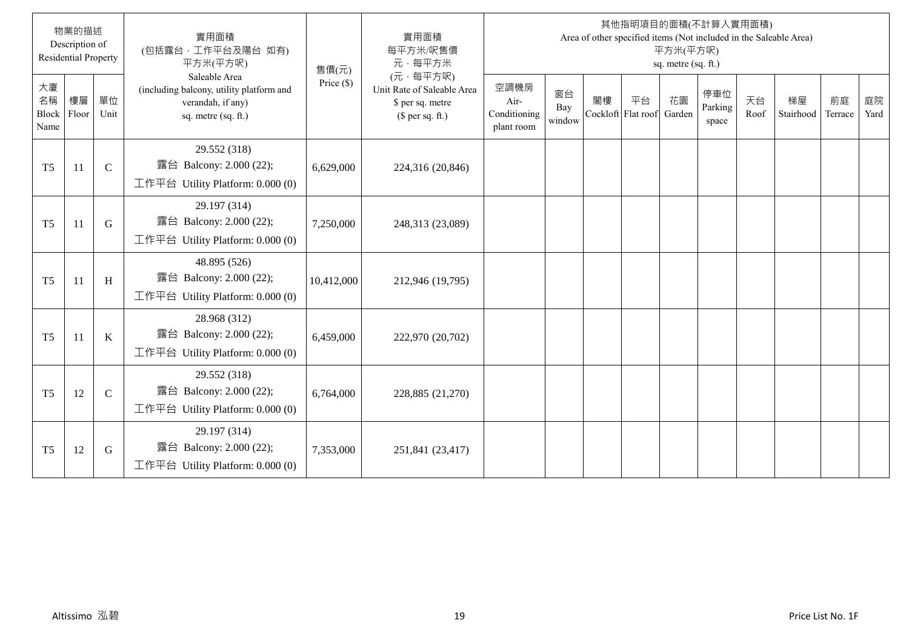|                           | 物業的描述<br>Description of<br><b>Residential Property</b> |               | 實用面積<br>(包括露台·工作平台及陽台 如有)<br>平方米(平方呎)                                                                 | 售價(元)        | 實用面積<br>每平方米/呎售價<br>元·每平方米                                                     |                                            |                     |                          |    | 平方米(平方呎)<br>sq. metre (sq. ft.) | 其他指明項目的面積(不計算入實用面積)     |            | Area of other specified items (Not included in the Saleable Area) |               |            |
|---------------------------|--------------------------------------------------------|---------------|-------------------------------------------------------------------------------------------------------|--------------|--------------------------------------------------------------------------------|--------------------------------------------|---------------------|--------------------------|----|---------------------------------|-------------------------|------------|-------------------------------------------------------------------|---------------|------------|
| 大廈<br>名稱<br>Block<br>Name | 樓層<br>Floor                                            | 單位<br>Unit    | Saleable Area<br>(including balcony, utility platform and<br>verandah, if any)<br>sq. metre (sq. ft.) | Price $(\$)$ | (元·每平方呎)<br>Unit Rate of Saleable Area<br>\$ per sq. metre<br>$$$ per sq. ft.) | 空調機房<br>Air-<br>Conditioning<br>plant room | 窗台<br>Bay<br>window | 閣樓<br>Cockloft Flat roof | 平台 | 花園<br>Garden                    | 停車位<br>Parking<br>space | 天台<br>Roof | 梯屋<br>Stairhood                                                   | 前庭<br>Terrace | 庭院<br>Yard |
| T <sub>5</sub>            | 11                                                     | $\mathcal{C}$ | 29.552 (318)<br>露台 Balcony: 2.000 (22);<br>工作平台 Utility Platform: 0.000 (0)                           | 6,629,000    | 224,316 (20,846)                                                               |                                            |                     |                          |    |                                 |                         |            |                                                                   |               |            |
| T <sub>5</sub>            | 11                                                     | G             | 29.197 (314)<br>露台 Balcony: 2.000 (22);<br>工作平台 Utility Platform: 0.000 (0)                           | 7,250,000    | 248,313 (23,089)                                                               |                                            |                     |                          |    |                                 |                         |            |                                                                   |               |            |
| T <sub>5</sub>            | 11                                                     | H             | 48.895 (526)<br>露台 Balcony: 2.000 (22);<br>工作平台 Utility Platform: $0.000(0)$                          | 10,412,000   | 212,946 (19,795)                                                               |                                            |                     |                          |    |                                 |                         |            |                                                                   |               |            |
| T <sub>5</sub>            | 11                                                     | K             | 28.968 (312)<br>露台 Balcony: 2.000 (22);<br>工作平台 Utility Platform: $0.000(0)$                          | 6,459,000    | 222,970 (20,702)                                                               |                                            |                     |                          |    |                                 |                         |            |                                                                   |               |            |
| T <sub>5</sub>            | 12                                                     | $\mathsf{C}$  | 29.552 (318)<br>露台 Balcony: 2.000 (22);<br>工作平台 Utility Platform: 0.000 (0)                           | 6,764,000    | 228,885 (21,270)                                                               |                                            |                     |                          |    |                                 |                         |            |                                                                   |               |            |
| T <sub>5</sub>            | 12                                                     | G             | 29.197 (314)<br>露台 Balcony: 2.000 (22);<br>工作平台 Utility Platform: 0.000 (0)                           | 7,353,000    | 251,841 (23,417)                                                               |                                            |                     |                          |    |                                 |                         |            |                                                                   |               |            |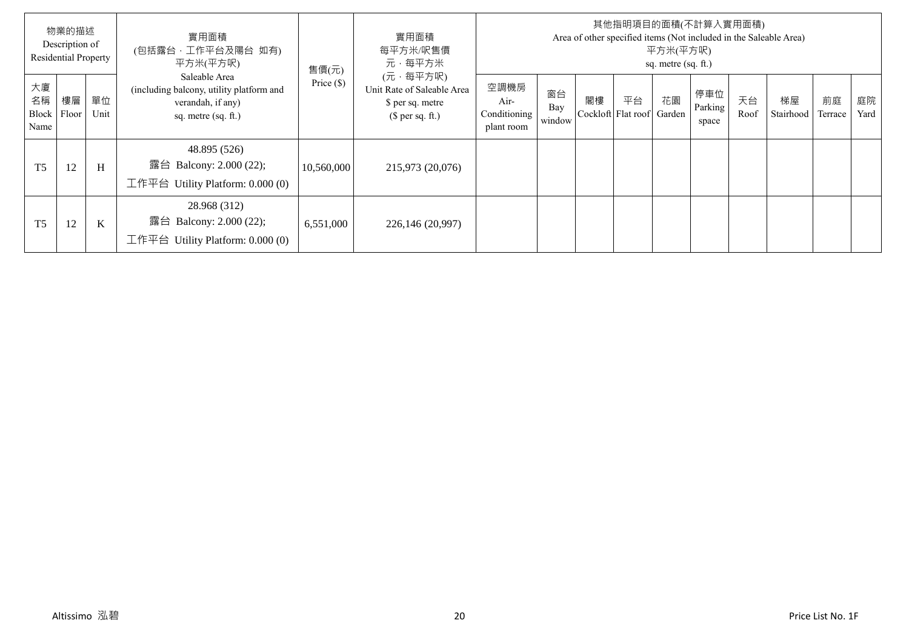|                  | 物業的描述<br>Description of<br><b>Residential Property</b> |             | 實用面積<br>(包括露台,工作平台及陽台 如有)<br>平方米(平方呎)                                                                 | 售價(元)        | 實用面積<br>每平方米/呎售價<br>元·每平方米                                                     |                                            |                     |    |                          | 平方米(平方呎)<br>sq. metre (sq. ft.) | 其他指明項目的面積(不計算入實用面積)     |            | Area of other specified items (Not included in the Saleable Area) |               |            |
|------------------|--------------------------------------------------------|-------------|-------------------------------------------------------------------------------------------------------|--------------|--------------------------------------------------------------------------------|--------------------------------------------|---------------------|----|--------------------------|---------------------------------|-------------------------|------------|-------------------------------------------------------------------|---------------|------------|
| 大廈<br>名稱<br>Name | 樓層<br>Block Floor                                      | 單位<br>Unit  | Saleable Area<br>(including balcony, utility platform and<br>verandah, if any)<br>sq. metre (sq. ft.) | Price $(\$)$ | (元·每平方呎)<br>Unit Rate of Saleable Area<br>\$ per sq. metre<br>$$$ per sq. ft.) | 空調機房<br>Air-<br>Conditioning<br>plant room | 窗台<br>Bay<br>window | 閣樓 | 平台<br>Cockloft Flat roof | 花園<br>Garden                    | 停車位<br>Parking<br>space | 天台<br>Roof | 梯屋<br>Stairhood                                                   | 前庭<br>Terrace | 庭院<br>Yard |
| T <sub>5</sub>   | 12                                                     | H           | 48.895 (526)<br>露台 Balcony: 2.000 (22);<br>工作平台 Utility Platform: $0.000(0)$                          | 10,560,000   | 215,973 (20,076)                                                               |                                            |                     |    |                          |                                 |                         |            |                                                                   |               |            |
| T <sub>5</sub>   | 12                                                     | $\mathbf K$ | 28.968 (312)<br>露台 Balcony: 2.000 (22);<br>工作平台 Utility Platform: $0.000(0)$                          | 6,551,000    | 226,146 (20,997)                                                               |                                            |                     |    |                          |                                 |                         |            |                                                                   |               |            |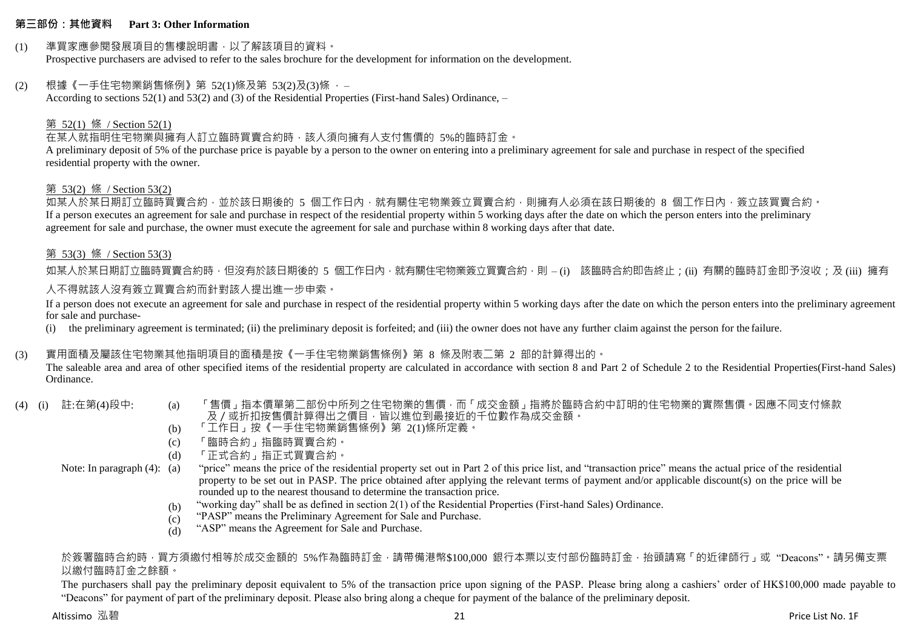#### **第三部份:其他資料 Part 3: Other Information**

#### (1) 準買家應參閱發展項目的售樓說明書,以了解該項目的資料。

Prospective purchasers are advised to refer to the sales brochure for the development for information on the development.

#### (2) 根據《一手住宅物業銷售條例》第 52(1)條及第 53(2)及(3)條 ,–

According to sections 52(1) and 53(2) and (3) of the Residential Properties (First-hand Sales) Ordinance, –

#### 第 52(1) 條 / Section 52(1)

在某人就指明住宅物業與擁有人訂立臨時買賣合約時,該人須向擁有人支付售價的 5%的臨時訂金。

A preliminary deposit of 5% of the purchase price is payable by a person to the owner on entering into a preliminary agreement for sale and purchase in respect of the specified residential property with the owner.

#### 第 53(2) 條 / Section 53(2)

如某人於某日期訂立臨時買賣合約,並於該日期後的 5 個工作日內,就有關住宅物業簽立買賣合約,則擁有人必須在該日期後的 8 個工作日內,簽立該買賣合約。 If a person executes an agreement for sale and purchase in respect of the residential property within 5 working days after the date on which the person enters into the preliminary agreement for sale and purchase, the owner must execute the agreement for sale and purchase within 8 working days after that date.

#### 第 53(3) 條 / Section 53(3)

如某人於某日期訂立臨時買賣合約時,但沒有於該日期後的 5 個工作日內,就有關住宅物業簽立買賣合約,則 – (i) 該臨時合約即告終止;(ii) 有關的臨時訂金即予沒收;及 (iii) 擁有 人不得就該人沒有簽立買賣合約而針對該人提出進一步申索。

If a person does not execute an agreement for sale and purchase in respect of the residential property within 5 working days after the date on which the person enters into the preliminary agreement for sale and purchase-

(i) the preliminary agreement is terminated; (ii) the preliminary deposit is forfeited; and (iii) the owner does not have any further claim against the person for the failure.

#### (3) 實用面積及屬該住宅物業其他指明項目的面積是按《一手住宅物業銷售條例》第 8 條及附表二第 2 部的計算得出的。

The saleable area and area of other specified items of the residential property are calculated in accordance with section 8 and Part 2 of Schedule 2 to the Residential Properties(First-hand Sales) Ordinance.

- 
- (4) (i) 註:在第(4)段中: (a) 「售價」指本價單第二部份中所列之住宅物業的售價,而「成交金額」指將於臨時合約中訂明的住宅物業的實際售價。因應不同支付條款 及/或折扣按售價計算得出之價目,皆以進位到最接近的千位數作為成交金額。
	- (b) 「工作日」按《一手住宅物業銷售條例》第 2(1)條所定義。
	- (c) 「臨時合約」指臨時買賣合約。
	- (d) 「正式合約」指正式買賣合約。

Note: In paragraph (4): (a)

- "price" means the price of the residential property set out in Part 2 of this price list, and "transaction price" means the actual price of the residential property to be set out in PASP. The price obtained after applying the relevant terms of payment and/or applicable discount(s) on the price will be rounded up to the nearest thousand to determine the transaction price.
- (b) "working day" shall be as defined in section 2(1) of the Residential Properties (First-hand Sales) Ordinance.
- (c) "PASP" means the Preliminary Agreement for Sale and Purchase.
- (d) "ASP" means the Agreement for Sale and Purchase.

#### 於簽署臨時合約時,買方須繳付相等於成交金額的 5%作為臨時訂金,請帶備港幣\$100,000 銀行本票以支付部份臨時訂金,抬頭請寫「的折律師行」或"Deacons"。請另備支票 以繳付臨時訂金之餘額。

The purchasers shall pay the preliminary deposit equivalent to 5% of the transaction price upon signing of the PASP. Please bring along a cashiers' order of HK\$100,000 made payable to "Deacons" for payment of part of the preliminary deposit. Please also bring along a cheque for payment of the balance of the preliminary deposit.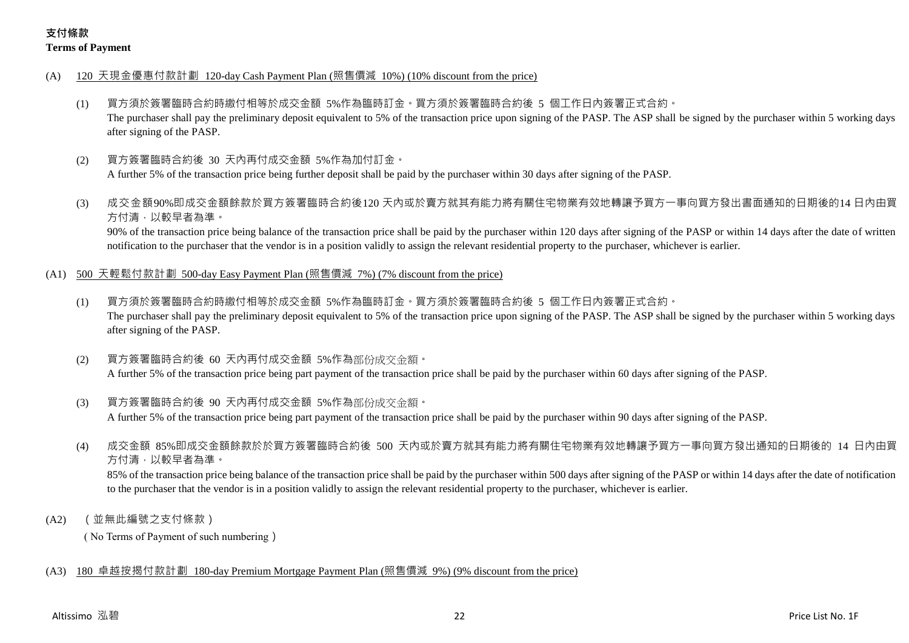## **支付條款 Terms of Payment**

- (A) 120 天現金優惠付款計劃 120-day Cash Payment Plan (照售價減 10%) (10% discount from the price)
	- (1) 買方須於簽署臨時合約時繳付相等於成交金額 5%作為臨時訂金。買方須於簽署臨時合約後 5 個工作日內簽署正式合約。 The purchaser shall pay the preliminary deposit equivalent to 5% of the transaction price upon signing of the PASP. The ASP shall be signed by the purchaser within 5 working days after signing of the PASP.
	- (2) 買方簽署臨時合約後 30 天內再付成交金額 5%作為加付訂金。

A further 5% of the transaction price being further deposit shall be paid by the purchaser within 30 days after signing of the PASP.

(3) 成交金額90%即成交金額餘款於買方簽署臨時合約後120 天內或於賣方就其有能力將有關住宅物業有效地轉讓予買方一事向買方發出書面通知的日期後的14 日內由買 方付清,以較早者為準。

90% of the transaction price being balance of the transaction price shall be paid by the purchaser within 120 days after signing of the PASP or within 14 days after the date of written notification to the purchaser that the vendor is in a position validly to assign the relevant residential property to the purchaser, whichever is earlier.

- (A1) 500 天輕鬆付款計劃 500-day Easy Payment Plan (照售價減 7%) (7% discount from the price)
	- (1) 買方須於簽署臨時合約時繳付相等於成交金額 5%作為臨時訂金。買方須於簽署臨時合約後 5 個工作日內簽署正式合約。 The purchaser shall pay the preliminary deposit equivalent to 5% of the transaction price upon signing of the PASP. The ASP shall be signed by the purchaser within 5 working days after signing of the PASP.
	- (2) 買方簽署臨時合約後 60 天內再付成交金額 5%作為部份成交金額。 A further 5% of the transaction price being part payment of the transaction price shall be paid by the purchaser within 60 days after signing of the PASP.
	- (3) 買方簽署臨時合約後 90 天內再付成交金額 5%作為部份成交金額。 A further 5% of the transaction price being part payment of the transaction price shall be paid by the purchaser within 90 days after signing of the PASP.
	- (4) 成交金額 85%即成交金額餘款於於買方簽署臨時合約後 500 天內或於賣方就其有能力將有關住宅物業有效地轉讓予買方一事向買方發出通知的日期後的 14 日內由買 方付清,以較早者為準。

85% of the transaction price being balance of the transaction price shall be paid by the purchaser within 500 days after signing of the PASP or within 14 days after the date of notification to the purchaser that the vendor is in a position validly to assign the relevant residential property to the purchaser, whichever is earlier.

(A2) (並無此編號之支付條款)

( No Terms of Payment of such numbering)

## (A3) 180 卓越按揭付款計劃 180-day Premium Mortgage Payment Plan (照售價減 9%) (9% discount from the price)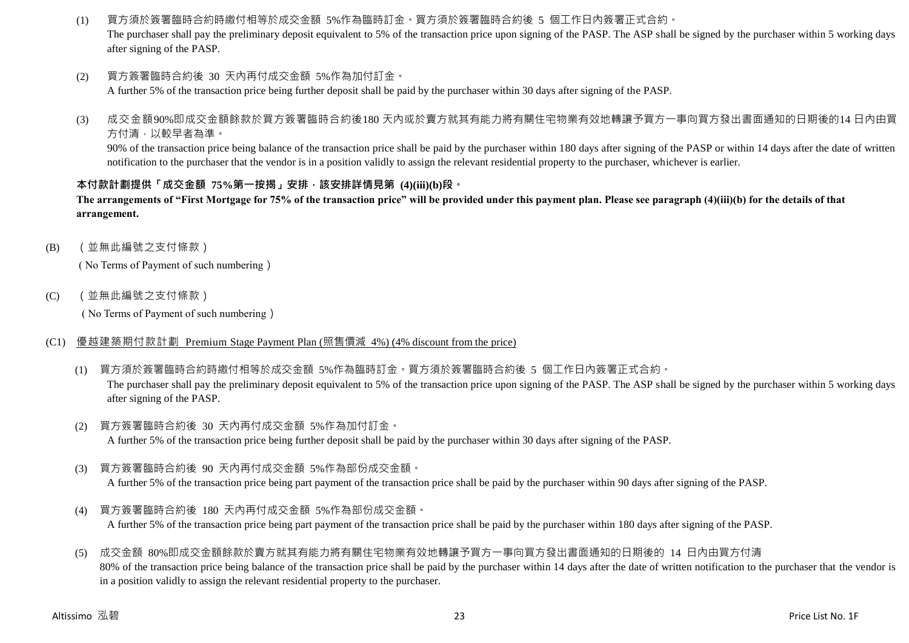(1) 買方須於簽署臨時合約時繳付相等於成交金額 5%作為臨時訂金。買方須於簽署臨時合約後 5 個工作日內簽署正式合約。

The purchaser shall pay the preliminary deposit equivalent to 5% of the transaction price upon signing of the PASP. The ASP shall be signed by the purchaser within 5 working days after signing of the PASP.

(2) 買方簽署臨時合約後 30 天內再付成交金額 5%作為加付訂金。

A further 5% of the transaction price being further deposit shall be paid by the purchaser within 30 days after signing of the PASP.

(3) 成交金額90%即成交金額餘款於買方簽署臨時合約後180 天內或於賣方就其有能力將有關住宅物業有效地轉讓予買方一事向買方發出書面通知的日期後的14 日內由買 方付清,以較早者為準。

90% of the transaction price being balance of the transaction price shall be paid by the purchaser within 180 days after signing of the PASP or within 14 days after the date of written notification to the purchaser that the vendor is in a position validly to assign the relevant residential property to the purchaser, whichever is earlier.

#### **本付款計劃提供「成交金額 75%第一按揭」安排,該安排詳情見第 (4)(iii)(b)段。**

**The arrangements of "First Mortgage for 75% of the transaction price" will be provided under this payment plan. Please see paragraph (4)(iii)(b) for the details of that arrangement.**

(B) (並無此編號之支付條款)

( No Terms of Payment of such numbering)

(C) (並無此編號之支付條款)

( No Terms of Payment of such numbering)

- (C1) 優越建築期付款計劃 Premium Stage Payment Plan (照售價減 4%) (4% discount from the price)
	- (1) 買方須於簽署臨時合約時繳付相等於成交金額 5%作為臨時訂金。買方須於簽署臨時合約後 5 個工作日內簽署正式合約。 The purchaser shall pay the preliminary deposit equivalent to 5% of the transaction price upon signing of the PASP. The ASP shall be signed by the purchaser within 5 working days after signing of the PASP.
	- (2) 買方簽署臨時合約後 30 天內再付成交金額 5%作為加付訂金。 A further 5% of the transaction price being further deposit shall be paid by the purchaser within 30 days after signing of the PASP.
	- (3) 買方簽署臨時合約後 90 天內再付成交金額 5%作為部份成交金額。

A further 5% of the transaction price being part payment of the transaction price shall be paid by the purchaser within 90 days after signing of the PASP.

(4) 買方簽署臨時合約後 180 天內再付成交金額 5%作為部份成交金額。

A further 5% of the transaction price being part payment of the transaction price shall be paid by the purchaser within 180 days after signing of the PASP.

(5) 成交金額 80%即成交金額餘款於賣方就其有能力將有關住宅物業有效地轉讓予買方一事向買方發出書面通知的日期後的 14 日內由買方付清 80% of the transaction price being balance of the transaction price shall be paid by the purchaser within 14 days after the date of written notification to the purchaser that the vendor is in a position validly to assign the relevant residential property to the purchaser.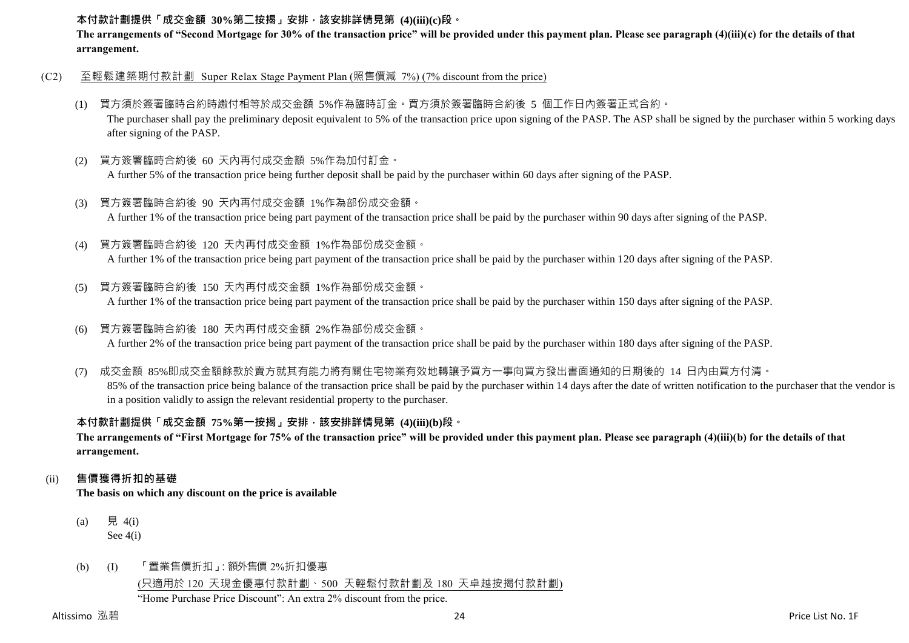#### **本付款計劃提供「成交金額 30%第二按揭」安排,該安排詳情見第 (4)(iii)(c)段。**

**The arrangements of "Second Mortgage for 30% of the transaction price" will be provided under this payment plan. Please see paragraph (4)(iii)(c) for the details of that arrangement.**

- (C2) 至輕鬆建築期付款計劃 Super Relax Stage Payment Plan (照售價減 7%) (7% discount from the price)
	- (1) 買方須於簽署臨時合約時繳付相等於成交金額 5%作為臨時訂金。買方須於簽署臨時合約後 5 個工作日內簽署正式合約。 The purchaser shall pay the preliminary deposit equivalent to 5% of the transaction price upon signing of the PASP. The ASP shall be signed by the purchaser within 5 working days after signing of the PASP.
	- (2) 買方簽署臨時合約後 60 天內再付成交金額 5%作為加付訂金。

A further 5% of the transaction price being further deposit shall be paid by the purchaser within 60 days after signing of the PASP.

- (3) 買方簽署臨時合約後 90 天內再付成交金額 1%作為部份成交金額。 A further 1% of the transaction price being part payment of the transaction price shall be paid by the purchaser within 90 days after signing of the PASP.
- (4) 買方簽署臨時合約後 120 天內再付成交金額 1%作為部份成交金額。

A further 1% of the transaction price being part payment of the transaction price shall be paid by the purchaser within 120 days after signing of the PASP.

(5) 買方簽署臨時合約後 150 天內再付成交金額 1%作為部份成交金額。

A further 1% of the transaction price being part payment of the transaction price shall be paid by the purchaser within 150 days after signing of the PASP.

(6) 買方簽署臨時合約後 180 天內再付成交金額 2%作為部份成交金額。

A further 2% of the transaction price being part payment of the transaction price shall be paid by the purchaser within 180 days after signing of the PASP.

(7) 成交金額 85%即成交金額餘款於賣方就其有能力將有關住宅物業有效地轉讓予買方一事向買方發出書面通知的日期後的 14 日內由買方付清。 85% of the transaction price being balance of the transaction price shall be paid by the purchaser within 14 days after the date of written notification to the purchaser that the vendor is in a position validly to assign the relevant residential property to the purchaser.

## **本付款計劃提供「成交金額 75%第一按揭」安排,該安排詳情見第 (4)(iii)(b)段。**

**The arrangements of "First Mortgage for 75% of the transaction price" will be provided under this payment plan. Please see paragraph (4)(iii)(b) for the details of that arrangement.**

#### (ii) **售價獲得折扣的基礎**

**The basis on which any discount on the price is available**

- (a) 見 4(i) See 4(i)
- (b) (I) 「置業售價折扣」:額外售價 2%折扣優惠

(只適用於 120 天現金優惠付款計劃、500 天輕鬆付款計劃及 180 天卓越按揭付款計劃)

"Home Purchase Price Discount": An extra 2% discount from the price.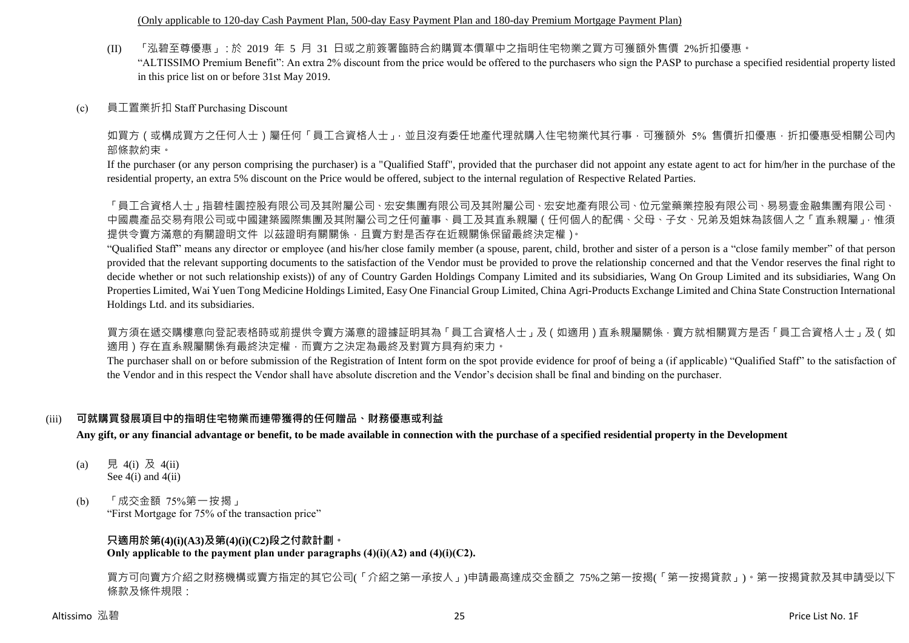(Only applicable to 120-day Cash Payment Plan, 500-day Easy Payment Plan and 180-day Premium Mortgage Payment Plan)

(II) 「泓碧至尊優惠」:於 2019 年 5 月 31 日或之前簽署臨時合約購買本價單中之指明住宅物業之買方可獲額外售價 2%折扣優惠。

"ALTISSIMO Premium Benefit": An extra 2% discount from the price would be offered to the purchasers who sign the PASP to purchase a specified residential property listed in this price list on or before 31st May 2019.

(c) 員工置業折扣 Staff Purchasing Discount

如買方(或構成買方之任何人士)屬任何「員工合資格人士」,並且沒有委任地產代理就購入住宅物業代其行事,可獲額外 5% 售價折扣優惠,折扣優惠受相關公司內 部條款約束。

If the purchaser (or any person comprising the purchaser) is a "Qualified Staff", provided that the purchaser did not appoint any estate agent to act for him/her in the purchase of the residential property, an extra 5% discount on the Price would be offered, subject to the internal regulation of Respective Related Parties.

「員工合資格人士」指碧桂園控股有限公司及其附屬公司、宏安集團有限公司及其附屬公司、宏安地產有限公司、位元堂藥業控股有限公司、 中國農產品交易有限公司或中國建築國際集團及其附屬公司之任何董事、員工及其直系親屬(任何個人的配偶、父母、子女、兄弟及姐妹為該個人之「直系親屬」,惟須 提供令賣方滿意的有關證明文件 以茲證明有關關係,且賣方對是否存在近親關係保留最終決定權)。

"Qualified Staff" means any director or employee (and his/her close family member (a spouse, parent, child, brother and sister of a person is a "close family member" of that person provided that the relevant supporting documents to the satisfaction of the Vendor must be provided to prove the relationship concerned and that the Vendor reserves the final right to decide whether or not such relationship exists)) of any of Country Garden Holdings Company Limited and its subsidiaries, Wang On Group Limited and its subsidiaries, Wang On Properties Limited, Wai Yuen Tong Medicine Holdings Limited, Easy One Financial Group Limited, China Agri-Products Exchange Limited and China State Construction International Holdings Ltd. and its subsidiaries.

買方須在遞交購樓意向登記表格時或前提供令賣方滿意的證據証明其為「員工合資格人士」及(如適用)直系親屬關係‧賣方就相關買方是否「員工合資格人士」及(如 適用)存在直系親屬關係有最終決定權,而賣方之決定為最終及對買方具有約束力。

The purchaser shall on or before submission of the Registration of Intent form on the spot provide evidence for proof of being a (if applicable) "Qualified Staff" to the satisfaction of the Vendor and in this respect the Vendor shall have absolute discretion and the Vendor's decision shall be final and binding on the purchaser.

## (iii) **可就購買發展項目中的指明住宅物業而連帶獲得的任何贈品、財務優惠或利益**

**Any gift, or any financial advantage or benefit, to be made available in connection with the purchase of a specified residential property in the Development**

- (a) 見 4(i) 及 4(ii) See  $4(i)$  and  $4(ii)$
- (b) 「成交金額 75%第一按揭」 "First Mortgage for 75% of the transaction price"

#### **只適用於第(4)(i)(A3)及第(4)(i)(C2)段之付款計劃。 Only applicable to the payment plan under paragraphs (4)(i)(A2) and (4)(i)(C2).**

買方可向賣方介紹之財務機構或賣方指定的其它公司(「介紹之第一承按人」)申請最高達成交金額之 75%之第一按揭(「第一按揭貸款」)。第一按揭貸款及其申請受以下 條款及條件規限: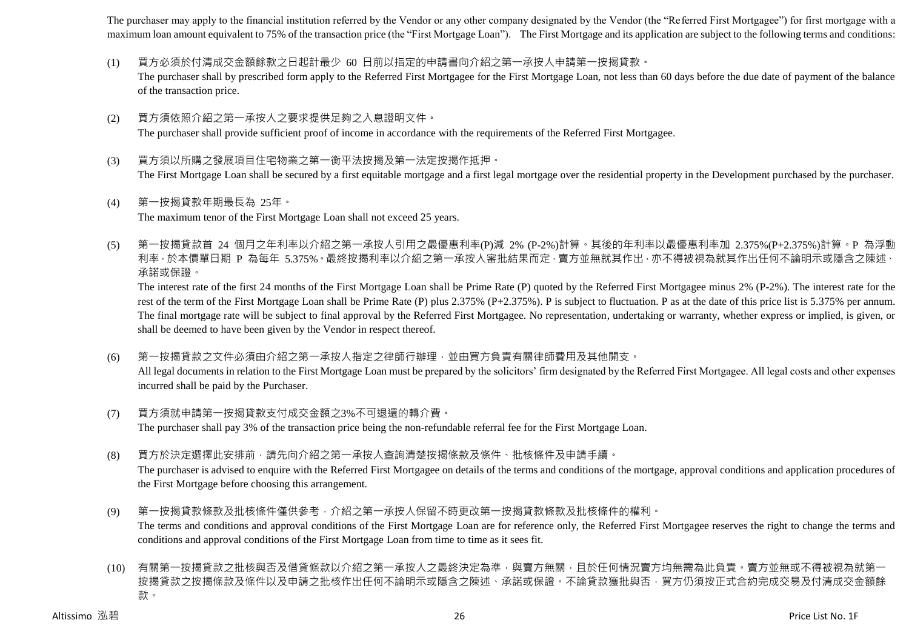The purchaser may apply to the financial institution referred by the Vendor or any other company designated by the Vendor (the "Referred First Mortgagee") for first mortgage with a maximum loan amount equivalent to 75% of the transaction price (the "First Mortgage Loan"). The First Mortgage and its application are subject to the following terms and conditions:

- (1) 買方必須於付清成交金額餘款之日起計最少 60 日前以指定的申請書向介紹之第一承按人申請第一按揭貸款。 The purchaser shall by prescribed form apply to the Referred First Mortgagee for the First Mortgage Loan, not less than 60 days before the due date of payment of the balance of the transaction price.
- (2) 買方須依照介紹之第一承按人之要求提供足夠之入息證明文件。 The purchaser shall provide sufficient proof of income in accordance with the requirements of the Referred First Mortgagee.
- (3) 買方須以所購之發展項目住宅物業之第一衡平法按揭及第一法定按揭作抵押。 The First Mortgage Loan shall be secured by a first equitable mortgage and a first legal mortgage over the residential property in the Development purchased by the purchaser.
- (4) 第一按揭貸款年期最長為 25年。 The maximum tenor of the First Mortgage Loan shall not exceed 25 years.
- (5) 第一按揭貸款首 24 個月之年利率以介紹之第一承按人引用之最優惠利率(P)減 2% (P-2%)計算。其後的年利率以最優惠利率加 2.375%(P+2.375%)計算。P 為浮動 利率,於本價單日期 P 為每年 5.375%。最終按揭利率以介紹之第一承按人審批結果而定,賣方並無就其作出,亦不得被視為就其作出任何不論明示或隱含之陳述、 承諾或保證。

The interest rate of the first 24 months of the First Mortgage Loan shall be Prime Rate (P) quoted by the Referred First Mortgagee minus 2% (P-2%). The interest rate for the rest of the term of the First Mortgage Loan shall be Prime Rate (P) plus 2.375% (P+2.375%). P is subject to fluctuation. P as at the date of this price list is 5.375% per annum. The final mortgage rate will be subject to final approval by the Referred First Mortgagee. No representation, undertaking or warranty, whether express or implied, is given, or shall be deemed to have been given by the Vendor in respect thereof.

- (6) 第一按揭貸款之文件必須由介紹之第一承按人指定之律師行辦理,並由買方負責有關律師費用及其他開支。 All legal documents in relation to the First Mortgage Loan must be prepared by the solicitors' firm designated by the Referred First Mortgagee. All legal costs and other expenses incurred shall be paid by the Purchaser.
- (7) 買方須就申請第一按揭貸款支付成交金額之3%不可退還的轉介費。 The purchaser shall pay 3% of the transaction price being the non-refundable referral fee for the First Mortgage Loan.
- (8) 買方於決定選擇此安排前,請先向介紹之第一承按人查詢清楚按揭條款及條件、批核條件及申請手續。

The purchaser is advised to enquire with the Referred First Mortgagee on details of the terms and conditions of the mortgage, approval conditions and application procedures of the First Mortgage before choosing this arrangement.

- (9) 第一按揭貸款條款及批核條件僅供參考,介紹之第一承按人保留不時更改第一按揭貸款條款及批核條件的權利。 The terms and conditions and approval conditions of the First Mortgage Loan are for reference only, the Referred First Mortgagee reserves the right to change the terms and conditions and approval conditions of the First Mortgage Loan from time to time as it sees fit.
- (10) 有關第一按揭貸款之批核與否及借貸條款以介紹之第一承按人之最終決定為準,與賣方無關,且於任何情況賣方均無需為此負責。賣方並無或不得被視為就第一 按揭貸款之按揭條款及條件以及申請之批核作出任何不論明示或隱含之陳述、承諾或保證。不論貸款獲批與否,買方仍須按正式合約完成交易及付清成交金額餘 款。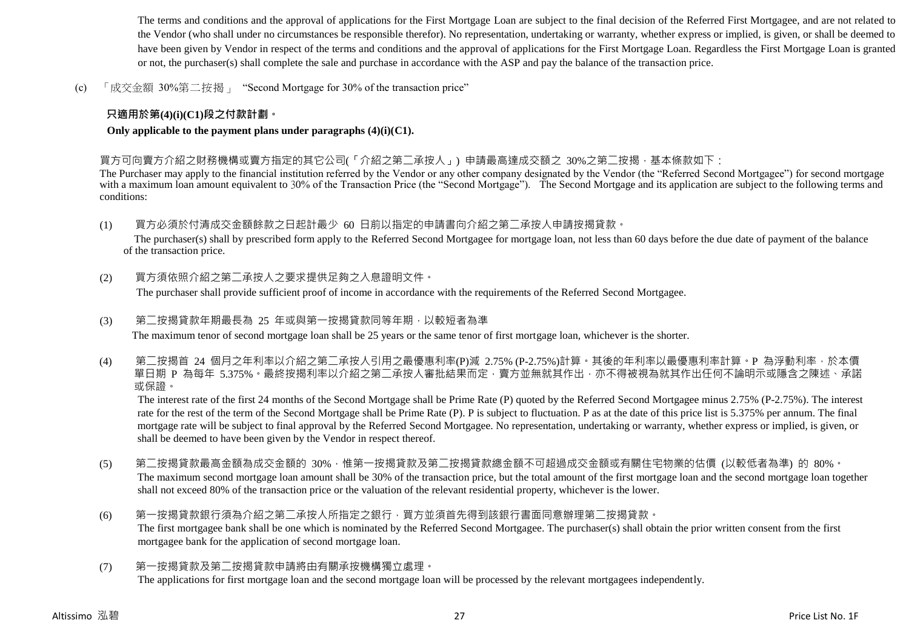The terms and conditions and the approval of applications for the First Mortgage Loan are subject to the final decision of the Referred First Mortgagee, and are not related to the Vendor (who shall under no circumstances be responsible therefor). No representation, undertaking or warranty, whether express or implied, is given, or shall be deemed to have been given by Vendor in respect of the terms and conditions and the approval of applications for the First Mortgage Loan. Regardless the First Mortgage Loan is granted or not, the purchaser(s) shall complete the sale and purchase in accordance with the ASP and pay the balance of the transaction price.

(c) 「成交金額 30%第二按揭」 "Second Mortgage for 30% of the transaction price"

## **只適用於第(4)(i)(C1)段之付款計劃。**

#### **Only applicable to the payment plans under paragraphs (4)(i)(C1).**

買方可向賣方介紹之財務機構或賣方指定的其它公司(「介紹之第二承按人」) 申請最高達成交額之 30%之第二按揭,基本條款如下:

The Purchaser may apply to the financial institution referred by the Vendor or any other company designated by the Vendor (the "Referred Second Mortgagee") for second mortgage with a maximum loan amount equivalent to 30% of the Transaction Price (the "Second Mortgage"). The Second Mortgage and its application are subject to the following terms and conditions:

(1) 買方必須於付清成交金額餘款之日起計最少 60 日前以指定的申請書向介紹之第二承按人申請按揭貸款。

The purchaser(s) shall by prescribed form apply to the Referred Second Mortgagee for mortgage loan, not less than 60 days before the due date of payment of the balance of the transaction price.

(2) 買方須依照介紹之第二承按人之要求提供足夠之入息證明文件。

The purchaser shall provide sufficient proof of income in accordance with the requirements of the Referred Second Mortgagee.

#### (3) 第二按揭貸款年期最長為 25 年或與第一按揭貸款同等年期,以較短者為準

The maximum tenor of second mortgage loan shall be 25 years or the same tenor of first mortgage loan, whichever is the shorter.

(4) 第二按揭首 24 個月之年利率以介紹之第二承按人引用之最優惠利率(P)減 2.75% (P-2.75%)計算。其後的年利率以最優惠利率計算。P 為浮動利率,於本價 單日期 P 為每年 5.375%。最終按揭利率以介紹之第二承按人審批結果而定,賣方並無就其作出,亦不得被視為就其作出任何不論明示或隱含之陳述、承諾 或保證。

The interest rate of the first 24 months of the Second Mortgage shall be Prime Rate (P) quoted by the Referred Second Mortgagee minus 2.75% (P-2.75%). The interest rate for the rest of the term of the Second Mortgage shall be Prime Rate (P). P is subject to fluctuation. P as at the date of this price list is 5.375% per annum. The final mortgage rate will be subject to final approval by the Referred Second Mortgagee. No representation, undertaking or warranty, whether express or implied, is given, or shall be deemed to have been given by the Vendor in respect thereof.

- (5) 第二按揭貸款最高金額為成交金額的 30%,惟第一按揭貸款及第二按揭貸款總金額不可超過成交金額或有關住宅物業的估價 (以較低者為準) 的 80%。 The maximum second mortgage loan amount shall be 30% of the transaction price, but the total amount of the first mortgage loan and the second mortgage loan together shall not exceed 80% of the transaction price or the valuation of the relevant residential property, whichever is the lower.
- (6) 第一按揭貸款銀行須為介紹之第二承按人所指定之銀行,買方並須首先得到該銀行書面同意辦理第二按揭貸款。 The first mortgagee bank shall be one which is nominated by the Referred Second Mortgagee. The purchaser(s) shall obtain the prior written consent from the first mortgagee bank for the application of second mortgage loan.
- (7) 第一按揭貸款及第二按揭貸款申請將由有關承按機構獨立處理。 The applications for first mortgage loan and the second mortgage loan will be processed by the relevant mortgagees independently.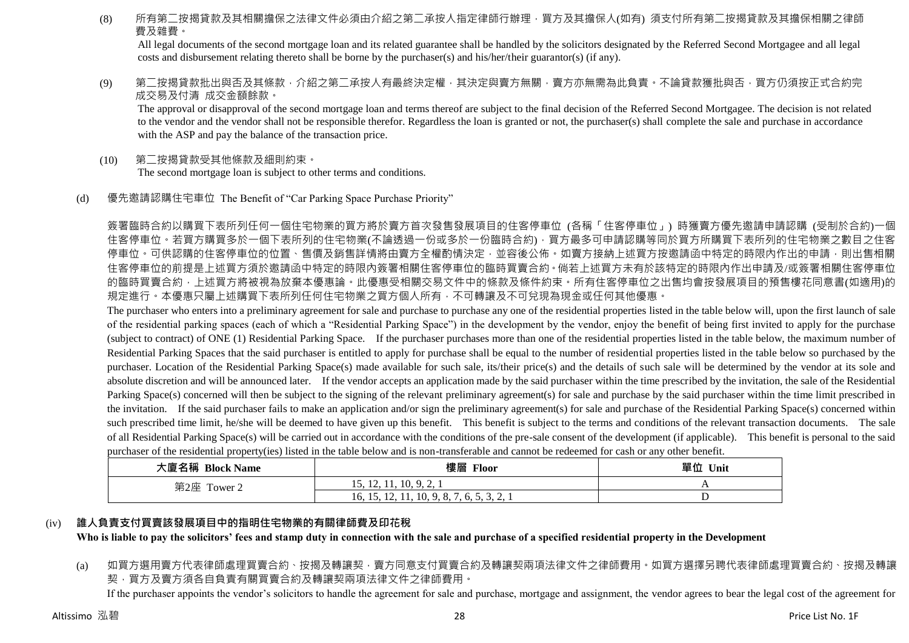(8) 所有第二按揭貸款及其相關擔保之法律文件必須由介紹之第二承按人指定律師行辦理,買方及其擔保人(如有) 須支付所有第二按揭貸款及其擔保相關之律師 費及雜費。

All legal documents of the second mortgage loan and its related guarantee shall be handled by the solicitors designated by the Referred Second Mortgagee and all legal costs and disbursement relating thereto shall be borne by the purchaser(s) and his/her/their guarantor(s) (if any).

(9) 第<sup>一</sup>按揭貸款批出與否及其條款,介紹之第<sup>一</sup>承按人有最終決定權,其決定與賣方無關,賣方亦無需為此負責。不論貸款獲批與否,買方仍須按正式合約完 成交易及付清 成交金額餘款。

The approval or disapproval of the second mortgage loan and terms thereof are subject to the final decision of the Referred Second Mortgagee. The decision is not related to the vendor and the vendor shall not be responsible therefor. Regardless the loan is granted or not, the purchaser(s) shall complete the sale and purchase in accordance with the ASP and pay the balance of the transaction price.

- (10) 第二按揭貸款受其他條款及細則約束。 The second mortgage loan is subject to other terms and conditions.
- (d) 優先邀請認購住宅車位 The Benefit of "Car Parking Space Purchase Priority"

簽署臨時合約以購買下表所列任何一個住宅物業的買方將於賣方首次發售發展項目的住客停車位 (各稱「住客停車位」) 時獲賣方優先邀請申請認購 (受制於合約)一個 住客停車位。若買方購買多於一個下表所列的住宅物業(不論透過一份或多於一份臨時合約),買方最多可申請認購等同於買方所購買下表所列的住宅物業之數目之住客 停車位。可供認購的住客停車位的位置、售價及銷售詳情將由賣方全權酌情決定,並容後公佈。如賣方接納上述買方按邀請函中特定的時限內作出的申請,則出售相關 住客停車位的前提是上述買方須於邀請函中特定的時限內簽署相關住客停車位的臨時買賣合約。倘若上述買方未有於該特定的時限內作出申請及/或簽署相關住客停車位 的臨時買賣合約,上述買方將被視為放棄本優惠論。此優惠受相關交易文件中的條款及條件約束。所有住客停車位之出售均會按發展項目的預售樓花同意書(如適用)的 規定進行。本優惠只屬上述購買下表所列任何住宅物業之買方個人所有,不可轉讓及不可兌現為現金或任何其他優惠。

The purchaser who enters into a preliminary agreement for sale and purchase to purchase any one of the residential properties listed in the table below will, upon the first launch of sale of the residential parking spaces (each of which a "Residential Parking Space") in the development by the vendor, enjoy the benefit of being first invited to apply for the purchase (subject to contract) of ONE (1) Residential Parking Space. If the purchaser purchases more than one of the residential properties listed in the table below, the maximum number of Residential Parking Spaces that the said purchaser is entitled to apply for purchase shall be equal to the number of residential properties listed in the table below so purchased by the purchaser. Location of the Residential Parking Space(s) made available for such sale, its/their price(s) and the details of such sale will be determined by the vendor at its sole and absolute discretion and will be announced later. If the vendor accepts an application made by the said purchaser within the time prescribed by the invitation, the sale of the Residential Parking Space(s) concerned will then be subject to the signing of the relevant preliminary agreement(s) for sale and purchase by the said purchaser within the time limit prescribed in the invitation. If the said purchaser fails to make an application and/or sign the preliminary agreement(s) for sale and purchase of the Residential Parking Space(s) concerned within such prescribed time limit, he/she will be deemed to have given up this benefit. This benefit is subject to the terms and conditions of the relevant transaction documents. The sale of all Residential Parking Space(s) will be carried out in accordance with the conditions of the pre-sale consent of the development (if applicable). This benefit is personal to the said purchaser of the residential property(ies) listed in the table below and is non-transferable and cannot be redeemed for cash or any other benefit.

| 大廈名稱 Block Name | 樓層<br><b>Floor</b>                                       | 單位<br>Unit |
|-----------------|----------------------------------------------------------|------------|
| 第2座 Tower 2     | 15, 12, 11, 10, 9, 2,                                    | . .        |
|                 | 10, 9, 8, 7, 6, 5, 3, 2, 1<br>10, 15,<br>$1/4$ , $1/4$ , |            |

#### (iv) **誰人負責支付買賣該發展項目中的指明住宅物業的有關律師費及印花稅**

**Who is liable to pay the solicitors' fees and stamp duty in connection with the sale and purchase of a specified residential property in the Development**

(a) 如買方選用賣方代表律師處理買賣合約、按揭及轉讓契,賣方同意支付買賣合約及轉讓契兩項法律文件之律師費用。如買方選擇另聘代表律師處理買賣合約、按揭及轉讓 契,買方及賣方須各自負責有關買賣合約及轉讓契兩項法律文件之律師費用。

If the purchaser appoints the vendor's solicitors to handle the agreement for sale and purchase, mortgage and assignment, the vendor agrees to bear the legal cost of the agreement for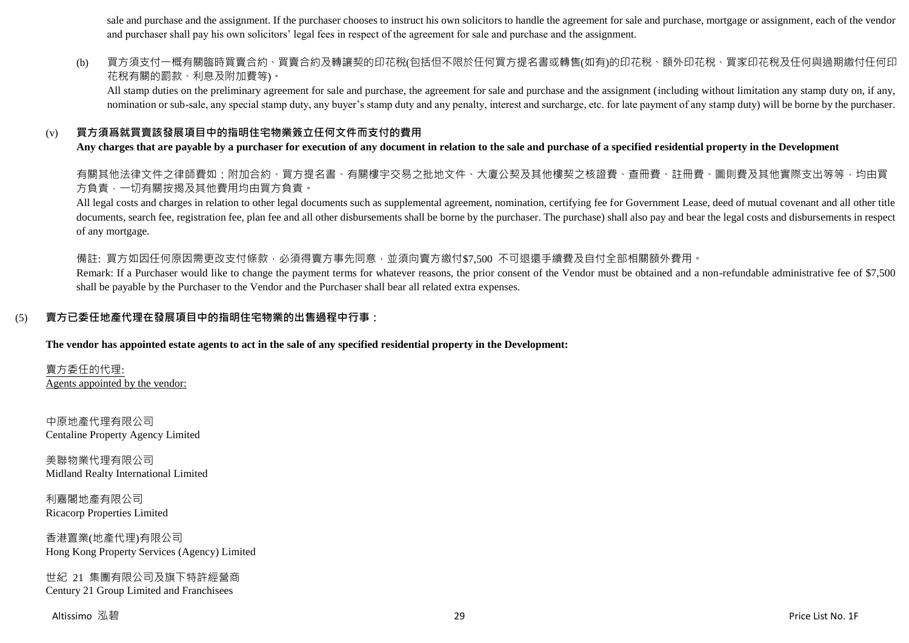sale and purchase and the assignment. If the purchaser chooses to instruct his own solicitors to handle the agreement for sale and purchase, mortgage or assignment, each of the vendor and purchaser shall pay his own solicitors' legal fees in respect of the agreement for sale and purchase and the assignment.

(b) 買方須支付一概有關臨時買賣合約、買賣合約及轉讓契的印花稅(包括但不限於任何買方提名書或轉售(如有)的印花稅、額外印花稅、買家印花稅及任何與過期繳付任何印 花稅有關的罰款、利息及附加費等)。

All stamp duties on the preliminary agreement for sale and purchase, the agreement for sale and purchase and the assignment (including without limitation any stamp duty on, if any, nomination or sub-sale, any special stamp duty, any buyer's stamp duty and any penalty, interest and surcharge, etc. for late payment of any stamp duty) will be borne by the purchaser.

#### (v) **買方須爲就買賣該發展項目中的指明住宅物業簽立任何文件而支付的費用**

**Any charges that are payable by a purchaser for execution of any document in relation to the sale and purchase of a specified residential property in the Development**

有關其他法律文件之律師費如:附加合約、買方提名書、有關樓宇交易之批地文件、大廈公契及其他樓契之核證費、查冊費、註冊費、圖則費及其他實際支出等等,均由買 方負責,一切有關按揭及其他費用均由買方負責。

All legal costs and charges in relation to other legal documents such as supplemental agreement, nomination, certifying fee for Government Lease, deed of mutual covenant and all other title documents, search fee, registration fee, plan fee and all other disbursements shall be borne by the purchaser. The purchase) shall also pay and bear the legal costs and disbursements in respect of any mortgage.

備註: 買方如因任何原因需更改支付條款,必須得賣方事先同意,並須向賣方繳付\$7,500 不可退還手續費及自付全部相關額外費用。

Remark: If a Purchaser would like to change the payment terms for whatever reasons, the prior consent of the Vendor must be obtained and a non-refundable administrative fee of \$7,500 shall be payable by the Purchaser to the Vendor and the Purchaser shall bear all related extra expenses.

#### (5) **賣方已委任地產代理在發展項目中的指明住宅物業的出售過程中行事:**

**The vendor has appointed estate agents to act in the sale of any specified residential property in the Development:**

賣方委任的代理: Agents appointed by the vendor:

中原地產代理有限公司 Centaline Property Agency Limited

美聯物業代理有限公司 Midland Realty International Limited

利嘉閣地產有限公司 Ricacorp Properties Limited

香港置業(地產代理)有限公司 Hong Kong Property Services (Agency) Limited

世紀 21 集團有限公司及旗下特許經營商 Century 21 Group Limited and Franchisees